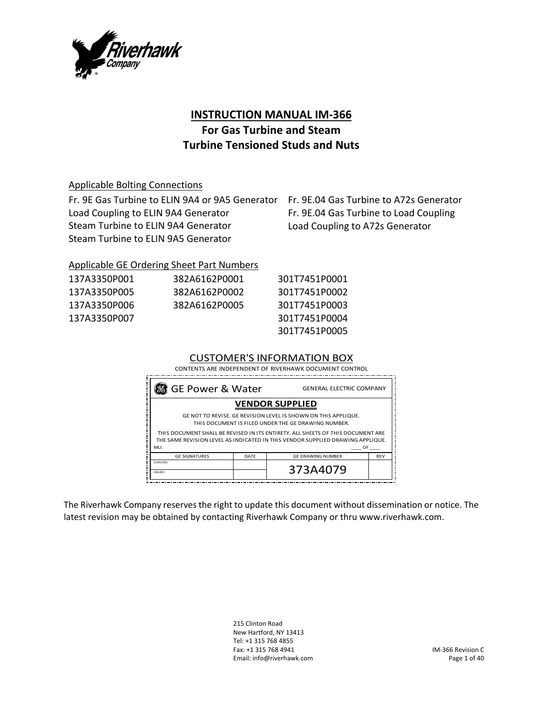

# **INSTRUCTION MANUAL IM‐366**

# **For Gas Turbine and Steam Turbine Tensioned Studs and Nuts**

### Applicable Bolting Connections

Fr. 9E Gas Turbine to ELIN 9A4 or 9A5 Generator Fr. 9E.04 Gas Turbine to A72s Generator Load Coupling to ELIN 9A4 Generator Steam Turbine to ELIN 9A4 Generator Steam Turbine to ELIN 9A5 Generator

Fr. 9E.04 Gas Turbine to Load Coupling Load Coupling to A72s Generator

## Applicable GE Ordering Sheet Part Numbers

| 137A3350P001 | 382A6162P0001 | 301T7451P0001 |
|--------------|---------------|---------------|
| 137A3350P005 | 382A6162P0002 | 301T7451P0002 |
| 137A3350P006 | 382A6162P0005 | 301T7451P0003 |
| 137A3350P007 |               | 301T7451P0004 |
|              |               | 301T7451P0005 |

301T7451P0003 301T7451P0004 301T7451P0005

### CUSTOMER'S INFORMATION BOX

| CONTENTS ARE INDEPENDENT OF RIVERHAWK DOCUMENT CONTROL                                                                                                                          |      |                          |            |  |
|---------------------------------------------------------------------------------------------------------------------------------------------------------------------------------|------|--------------------------|------------|--|
| 8 GE Power & Water<br><b>GENERAL ELECTRIC COMPANY</b>                                                                                                                           |      |                          |            |  |
| <b>VENDOR SUPPLIED</b>                                                                                                                                                          |      |                          |            |  |
| GE NOT TO REVISE. GE REVISION LEVEL IS SHOWN ON THIS APPLIQUE.<br>THIS DOCUMENT IS FILED UNDER THE GE DRAWING NUMBER.                                                           |      |                          |            |  |
| THIS DOCUMENT SHALL BE REVISED IN ITS ENTIRETY. ALL SHEETS OF THIS DOCUMENT ARE<br>THE SAME REVISION LEVEL AS INDICATED IN THIS VENDOR SUPPLIED DRAWING APPLIQUE.<br>MLI:<br>OF |      |                          |            |  |
| <b>GE SIGNATURES</b>                                                                                                                                                            | DATE | <b>GE DRAWING NUMBER</b> | <b>REV</b> |  |
| CHECKED:<br>ISSUED:                                                                                                                                                             |      | 373A4079                 |            |  |

The Riverhawk Company reserves the right to update this document without dissemination or notice. The latest revision may be obtained by contacting Riverhawk Company or thru www.riverhawk.com.

> 215 Clinton Road New Hartford, NY 13413 Tel: +1 315 768 4855 Fax: +1 315 768 4941 Email: info@riverhawk.com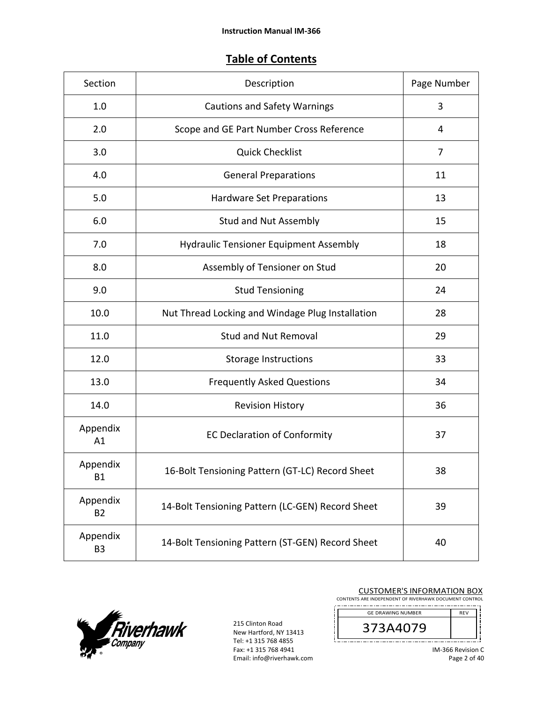# **Table of Contents**

| Section               | Description                                      | Page Number |
|-----------------------|--------------------------------------------------|-------------|
| 1.0                   | <b>Cautions and Safety Warnings</b>              | 3           |
| 2.0                   | Scope and GE Part Number Cross Reference         | 4           |
| 3.0                   | <b>Quick Checklist</b>                           | 7           |
| 4.0                   | <b>General Preparations</b>                      | 11          |
| 5.0                   | Hardware Set Preparations                        | 13          |
| 6.0                   | <b>Stud and Nut Assembly</b>                     | 15          |
| 7.0                   | <b>Hydraulic Tensioner Equipment Assembly</b>    | 18          |
| 8.0                   | Assembly of Tensioner on Stud                    | 20          |
| 9.0                   | <b>Stud Tensioning</b>                           | 24          |
| 10.0                  | Nut Thread Locking and Windage Plug Installation | 28          |
| 11.0                  | <b>Stud and Nut Removal</b>                      | 29          |
| 12.0                  | <b>Storage Instructions</b>                      | 33          |
| 13.0                  | <b>Frequently Asked Questions</b>                | 34          |
| 14.0                  | <b>Revision History</b>                          | 36          |
| Appendix<br>A1        | <b>EC Declaration of Conformity</b>              | 37          |
| Appendix<br><b>B1</b> | 16-Bolt Tensioning Pattern (GT-LC) Record Sheet  | 38          |
| Appendix<br><b>B2</b> | 14-Bolt Tensioning Pattern (LC-GEN) Record Sheet | 39          |
| Appendix<br><b>B3</b> | 14-Bolt Tensioning Pattern (ST-GEN) Record Sheet | 40          |



215 Clinton Road New Hartford, NY 13413 Tel: +1 315 768 4855 Fax: +1 315 768 4941 Email: info@riverhawk.com

Ţ

|  | <b>CUSTOMER'S INFORMATION BOX</b>                  |  |  |  |  |
|--|----------------------------------------------------|--|--|--|--|
|  | ENTS ARE INDEPENDENT OF RIVERHAWK DOCUMENT CONTROL |  |  |  |  |

CONTE 

GE DRAWING NUMBER REV 373A4079 . . . . . .

IM‐366 Revision C Page 2 of 40

j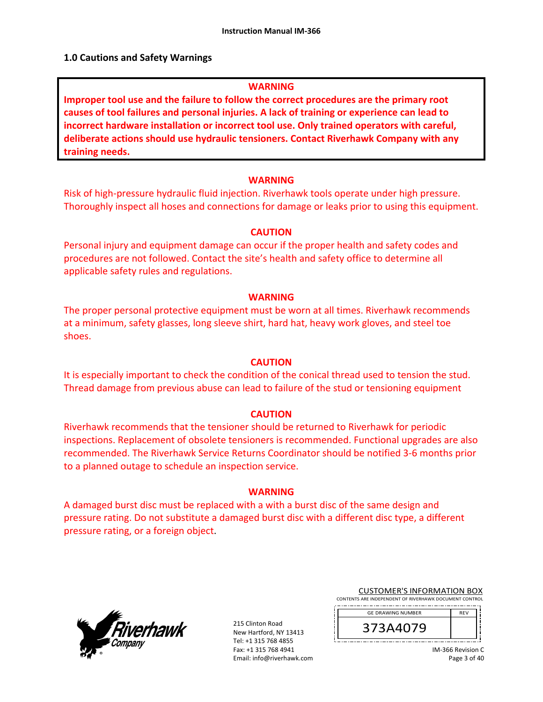#### **1.0 Cautions and Safety Warnings**

#### **WARNING**

**Improper tool use and the failure to follow the correct procedures are the primary root causes of tool failures and personal injuries. A lack of training or experience can lead to incorrect hardware installation or incorrect tool use. Only trained operators with careful, deliberate actions should use hydraulic tensioners. Contact Riverhawk Company with any training needs.** 

#### **WARNING**

Risk of high‐pressure hydraulic fluid injection. Riverhawk tools operate under high pressure. Thoroughly inspect all hoses and connections for damage or leaks prior to using this equipment.

#### **CAUTION**

Personal injury and equipment damage can occur if the proper health and safety codes and procedures are not followed. Contact the site's health and safety office to determine all applicable safety rules and regulations.

#### **WARNING**

The proper personal protective equipment must be worn at all times. Riverhawk recommends at a minimum, safety glasses, long sleeve shirt, hard hat, heavy work gloves, and steel toe shoes.

#### **CAUTION**

It is especially important to check the condition of the conical thread used to tension the stud. Thread damage from previous abuse can lead to failure of the stud or tensioning equipment

#### **CAUTION**

Riverhawk recommends that the tensioner should be returned to Riverhawk for periodic inspections. Replacement of obsolete tensioners is recommended. Functional upgrades are also recommended. The Riverhawk Service Returns Coordinator should be notified 3‐6 months prior to a planned outage to schedule an inspection service.

#### **WARNING**

A damaged burst disc must be replaced with a with a burst disc of the same design and pressure rating. Do not substitute a damaged burst disc with a different disc type, a different pressure rating, or a foreign object.



215 Clinton Road New Hartford, NY 13413 Tel: +1 315 768 4855 Fax: +1 315 768 4941 Email: info@riverhawk.com

| <b>CUSTOMER'S INFORMATION BOX</b>                      |  |
|--------------------------------------------------------|--|
| CONTENTS ARE INDEPENDENT OF RIVERHAWK DOCUMENT CONTROL |  |

| <b>GE DRAWING NUMBER</b> | <b>RFV</b> |
|--------------------------|------------|
| 373A4079                 |            |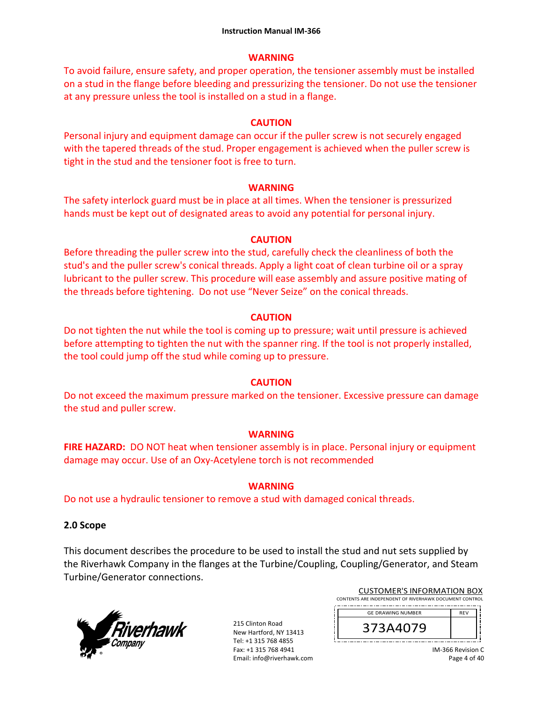### **WARNING**

To avoid failure, ensure safety, and proper operation, the tensioner assembly must be installed on a stud in the flange before bleeding and pressurizing the tensioner. Do not use the tensioner at any pressure unless the tool is installed on a stud in a flange.

### **CAUTION**

Personal injury and equipment damage can occur if the puller screw is not securely engaged with the tapered threads of the stud. Proper engagement is achieved when the puller screw is tight in the stud and the tensioner foot is free to turn.

### **WARNING**

The safety interlock guard must be in place at all times. When the tensioner is pressurized hands must be kept out of designated areas to avoid any potential for personal injury.

## **CAUTION**

Before threading the puller screw into the stud, carefully check the cleanliness of both the stud's and the puller screw's conical threads. Apply a light coat of clean turbine oil or a spray lubricant to the puller screw. This procedure will ease assembly and assure positive mating of the threads before tightening. Do not use "Never Seize" on the conical threads.

### **CAUTION**

Do not tighten the nut while the tool is coming up to pressure; wait until pressure is achieved before attempting to tighten the nut with the spanner ring. If the tool is not properly installed, the tool could jump off the stud while coming up to pressure.

## **CAUTION**

Do not exceed the maximum pressure marked on the tensioner. Excessive pressure can damage the stud and puller screw.

## **WARNING**

**FIRE HAZARD:** DO NOT heat when tensioner assembly is in place. Personal injury or equipment damage may occur. Use of an Oxy‐Acetylene torch is not recommended

## **WARNING**

Do not use a hydraulic tensioner to remove a stud with damaged conical threads.

## **2.0 Scope**

This document describes the procedure to be used to install the stud and nut sets supplied by the Riverhawk Company in the flanges at the Turbine/Coupling, Coupling/Generator, and Steam Turbine/Generator connections.



215 Clinton Road New Hartford, NY 13413 Tel: +1 315 768 4855 Fax: +1 315 768 4941 Email: info@riverhawk.com

| <b>CUSTOMER'S INFORMATION BOX</b>                      |            |  |
|--------------------------------------------------------|------------|--|
| CONTENTS ARE INDEPENDENT OF RIVERHAWK DOCUMENT CONTROL |            |  |
| GE DRAWING NUMBER                                      | <b>DEV</b> |  |

| <b>GE DRAWING NUMBER</b> |  |
|--------------------------|--|
| 44079                    |  |
|                          |  |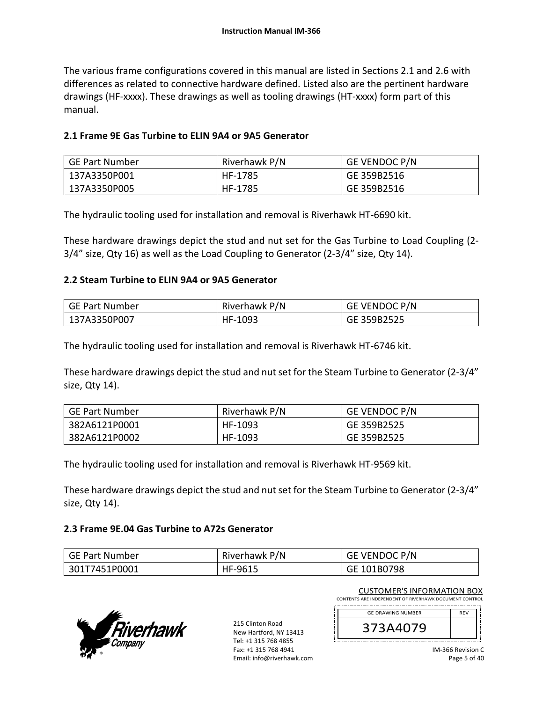The various frame configurations covered in this manual are listed in Sections 2.1 and 2.6 with differences as related to connective hardware defined. Listed also are the pertinent hardware drawings (HF‐xxxx). These drawings as well as tooling drawings (HT‐xxxx) form part of this manual.

### **2.1 Frame 9E Gas Turbine to ELIN 9A4 or 9A5 Generator**

| GE Part Number | Riverhawk P/N | <b>GE VENDOC P/N</b> |
|----------------|---------------|----------------------|
| 137A3350P001   | HF-1785       | GE 359B2516          |
| 137A3350P005   | HF-1785       | GE 359B2516          |

The hydraulic tooling used for installation and removal is Riverhawk HT‐6690 kit.

These hardware drawings depict the stud and nut set for the Gas Turbine to Load Coupling (2‐ 3/4" size, Qty 16) as well as the Load Coupling to Generator (2‐3/4" size, Qty 14).

### **2.2 Steam Turbine to ELIN 9A4 or 9A5 Generator**

| GE Part Number | Riverhawk P/N | <b>GE VENDOC P/N</b> |
|----------------|---------------|----------------------|
| 137A3350P007   | HF-1093       | GE 359B2525          |

The hydraulic tooling used for installation and removal is Riverhawk HT‐6746 kit.

These hardware drawings depict the stud and nut set for the Steam Turbine to Generator (2‐3/4" size, Qty 14).

| <b>GE Part Number</b> | Riverhawk P/N | <b>GE VENDOC P/N</b> |
|-----------------------|---------------|----------------------|
| 382A6121P0001         | HF-1093       | GE 359B2525          |
| 382A6121P0002         | HF-1093       | GE 359B2525          |

The hydraulic tooling used for installation and removal is Riverhawk HT‐9569 kit.

These hardware drawings depict the stud and nut set for the Steam Turbine to Generator (2‐3/4" size, Qty 14).

### **2.3 Frame 9E.04 Gas Turbine to A72s Generator**

| GE Part Number | Riverhawk P/N | <b>GE VENDOC P/N</b> |
|----------------|---------------|----------------------|
| 301T7451P0001  | HF-9615       | GE 101B0798          |



215 Clinton Road New Hartford, NY 13413 Tel: +1 315 768 4855 Fax: +1 315 768 4941 Email: info@riverhawk.com

CUSTOMER'S INFORMATION BOX CONTENTS ARE INDEPENDENT OF RIVERHAWK DOCUMENT CONTROL 

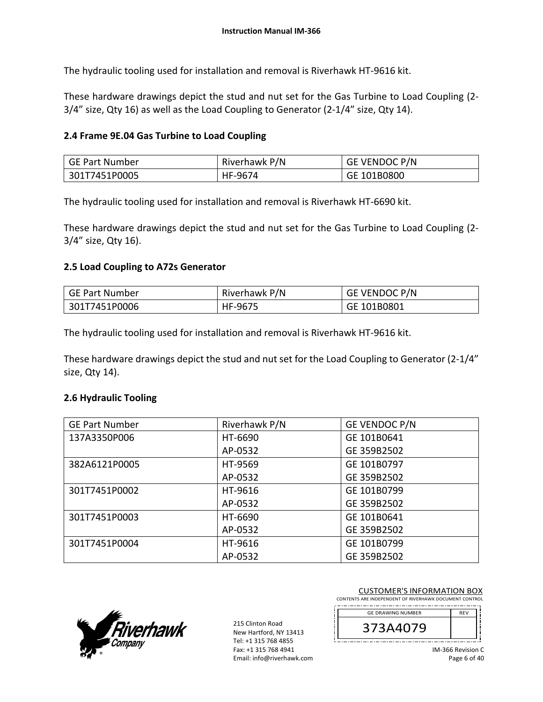The hydraulic tooling used for installation and removal is Riverhawk HT‐9616 kit.

These hardware drawings depict the stud and nut set for the Gas Turbine to Load Coupling (2‐  $3/4$ " size, Qty 16) as well as the Load Coupling to Generator (2-1/4" size, Qty 14).

### **2.4 Frame 9E.04 Gas Turbine to Load Coupling**

| GE Part Number | Riverhawk P/N | <b>GE VENDOC P/N</b> |
|----------------|---------------|----------------------|
| 301T7451P0005  | HF-9674       | GE 101B0800          |

The hydraulic tooling used for installation and removal is Riverhawk HT‐6690 kit.

These hardware drawings depict the stud and nut set for the Gas Turbine to Load Coupling (2‐ 3/4" size, Qty 16).

#### **2.5 Load Coupling to A72s Generator**

| GE Part Number | Riverhawk P/N | GE VENDOC P/N |
|----------------|---------------|---------------|
| 301T7451P0006  | HF-9675       | GE 101B0801   |

The hydraulic tooling used for installation and removal is Riverhawk HT‐9616 kit.

These hardware drawings depict the stud and nut set for the Load Coupling to Generator (2‐1/4" size, Qty 14).

#### **2.6 Hydraulic Tooling**

| <b>GE Part Number</b> | Riverhawk P/N | GE VENDOC P/N |
|-----------------------|---------------|---------------|
| 137A3350P006          | HT-6690       | GE 101B0641   |
|                       | AP-0532       | GE 359B2502   |
| 382A6121P0005         | HT-9569       | GE 101B0797   |
|                       | AP-0532       | GE 359B2502   |
| 301T7451P0002         | HT-9616       | GE 101B0799   |
|                       | AP-0532       | GE 359B2502   |
| 301T7451P0003         | HT-6690       | GE 101B0641   |
|                       | AP-0532       | GE 359B2502   |
| 301T7451P0004         | HT-9616       | GE 101B0799   |
|                       | AP-0532       | GE 359B2502   |



215 Clinton Road New Hartford, NY 13413 Tel: +1 315 768 4855 Fax: +1 315 768 4941 Email: info@riverhawk.com

| <b>GE DRAWING NUMBER</b> | <b>RFV</b> |
|--------------------------|------------|
| 373A4079                 |            |
|                          |            |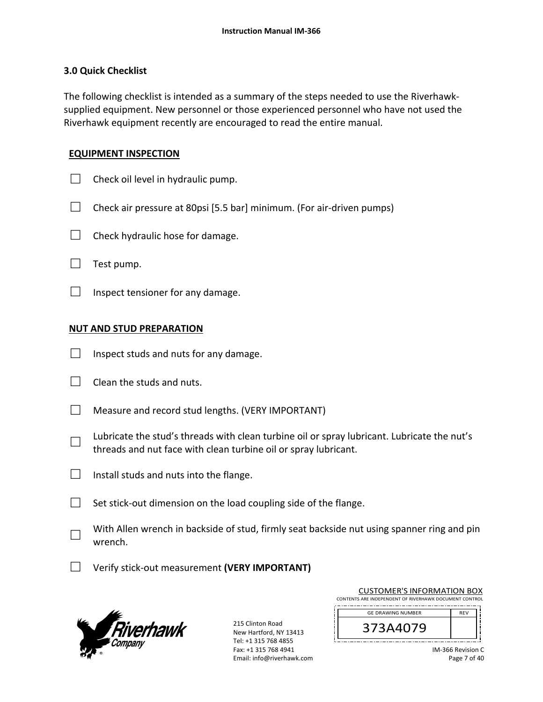### **3.0 Quick Checklist**

The following checklist is intended as a summary of the steps needed to use the Riverhawk‐ supplied equipment. New personnel or those experienced personnel who have not used the Riverhawk equipment recently are encouraged to read the entire manual.

### **EQUIPMENT INSPECTION**

- $\Box$  Check oil level in hydraulic pump.
- $\Box$  Check air pressure at 80psi [5.5 bar] minimum. (For air-driven pumps)
- $\Box$  Check hydraulic hose for damage.
- $\Box$  Test pump.
- $\Box$  Inspect tensioner for any damage.

### **NUT AND STUD PREPARATION**

- $\Box$  Inspect studs and nuts for any damage.
- $\Box$  Clean the studs and nuts.
- $\Box$  Measure and record stud lengths. (VERY IMPORTANT)
- □ Lubricate the stud's threads with clean turbine oil or spray lubricant. Lubricate the nut's threads and nut face with clean turbine oil or spray lubricant.
- $\Box$  Install studs and nuts into the flange.
- $\Box$  Set stick-out dimension on the load coupling side of the flange.
- □ With Allen wrench in backside of stud, firmly seat backside nut using spanner ring and pin wrench.
- □ Verify stick‐out measurement **(VERY IMPORTANT)**



215 Clinton Road New Hartford, NY 13413 Tel: +1 315 768 4855 Fax: +1 315 768 4941 Email: info@riverhawk.com

| CONTENTS ARE INDEPENDENT OF RIVERHAWK DOCUMENT CONTROL |            |  |
|--------------------------------------------------------|------------|--|
| <b>GE DRAWING NUMBER</b>                               | <b>RFV</b> |  |
| 373A4079                                               |            |  |
|                                                        |            |  |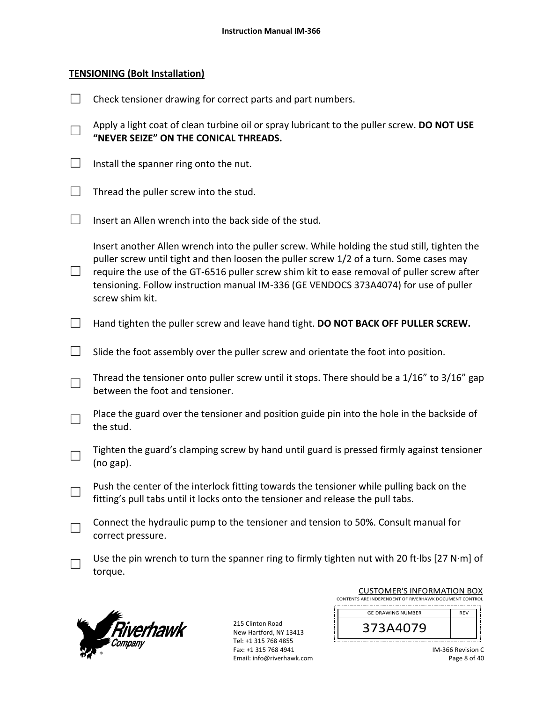#### **TENSIONING (Bolt Installation)**

|                   | Check tensioner drawing for correct parts and part numbers.                                                                                                                                                                                                                                                                                                                                      |
|-------------------|--------------------------------------------------------------------------------------------------------------------------------------------------------------------------------------------------------------------------------------------------------------------------------------------------------------------------------------------------------------------------------------------------|
|                   | Apply a light coat of clean turbine oil or spray lubricant to the puller screw. DO NOT USE<br>"NEVER SEIZE" ON THE CONICAL THREADS.                                                                                                                                                                                                                                                              |
| $\vert \ \ \vert$ | Install the spanner ring onto the nut.                                                                                                                                                                                                                                                                                                                                                           |
| $\Box$            | Thread the puller screw into the stud.                                                                                                                                                                                                                                                                                                                                                           |
| $\Box$            | Insert an Allen wrench into the back side of the stud.                                                                                                                                                                                                                                                                                                                                           |
| $\Box$            | Insert another Allen wrench into the puller screw. While holding the stud still, tighten the<br>puller screw until tight and then loosen the puller screw 1/2 of a turn. Some cases may<br>require the use of the GT-6516 puller screw shim kit to ease removal of puller screw after<br>tensioning. Follow instruction manual IM-336 (GE VENDOCS 373A4074) for use of puller<br>screw shim kit. |
| $\vert \ \ \vert$ | Hand tighten the puller screw and leave hand tight. DO NOT BACK OFF PULLER SCREW.                                                                                                                                                                                                                                                                                                                |
|                   | Slide the foot assembly over the puller screw and orientate the foot into position.                                                                                                                                                                                                                                                                                                              |
| $\Box$            | Thread the tensioner onto puller screw until it stops. There should be a 1/16" to 3/16" gap<br>between the foot and tensioner.                                                                                                                                                                                                                                                                   |
|                   | Place the guard over the tensioner and position guide pin into the hole in the backside of<br>the stud.                                                                                                                                                                                                                                                                                          |
|                   | Tighten the guard's clamping screw by hand until guard is pressed firmly against tensioner<br>$(no gap)$ .                                                                                                                                                                                                                                                                                       |
|                   | Push the center of the interlock fitting towards the tensioner while pulling back on the<br>fitting's pull tabs until it locks onto the tensioner and release the pull tabs.                                                                                                                                                                                                                     |
|                   | Connect the hydraulic pump to the tensioner and tension to 50%. Consult manual for<br>correct pressure.                                                                                                                                                                                                                                                                                          |
|                   | Use the pin wrench to turn the spanner ring to firmly tighten nut with 20 ft lbs [27 N·m] of<br>torque.                                                                                                                                                                                                                                                                                          |



215 Clinton Road New Hartford, NY 13413 Tel: +1 315 768 4855 Fax: +1 315 768 4941 Email: info@riverhawk.com ji

Ţ

| <b>GE DRAWING NUMBER</b><br><b>REV</b> |
|----------------------------------------|
|                                        |
| 373A4079                               |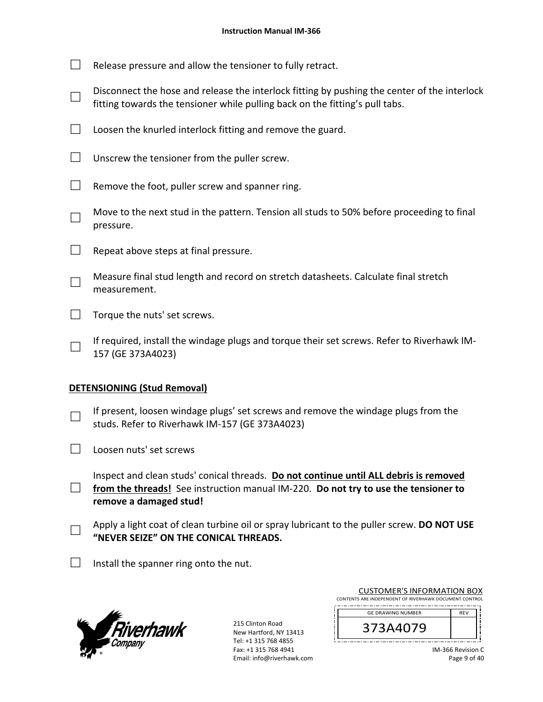- $\Box$  Release pressure and allow the tensioner to fully retract.
- □ Disconnect the hose and release the interlock fitting by pushing the center of the interlock fitting towards the tensioner while pulling back on the fitting's pull tabs.
- $\Box$  Loosen the knurled interlock fitting and remove the guard.
- $\Box$  Unscrew the tensioner from the puller screw.
- $\Box$  Remove the foot, puller screw and spanner ring.
- □ Move to the next stud in the pattern. Tension all studs to 50% before proceeding to final pressure.
- $\Box$  Repeat above steps at final pressure.
- □ Measure final stud length and record on stretch datasheets. Calculate final stretch measurement.
- $\Box$  Torque the nuts' set screws.
	- If required, install the windage plugs and torque their set screws. Refer to Riverhawk IM‐ 157 (GE 373A4023)

## **DETENSIONING (Stud Removal)**

□

- □ If present, loosen windage plugs' set screws and remove the windage plugs from the studs. Refer to Riverhawk IM‐157 (GE 373A4023)
- $\Box$  Loosen nuts' set screws
- □ Inspect and clean studs' conical threads. **Do not continue until ALL debris is removed from the threads!** See instruction manual IM‐220. **Do not try to use the tensioner to remove a damaged stud!**
- □ Apply a light coat of clean turbine oil or spray lubricant to the puller screw. **DO NOT USE "NEVER SEIZE" ON THE CONICAL THREADS.**
- $\Box$  Install the spanner ring onto the nut.



215 Clinton Road New Hartford, NY 13413 Tel: +1 315 768 4855 Fax: +1 315 768 4941 Email: info@riverhawk.com

| CONTENTS ARE INDEPENDENT OF RIVERHAWK DOCUMENT CONTROL |            |  |
|--------------------------------------------------------|------------|--|
| <b>GE DRAWING NUMBER</b>                               | <b>RFV</b> |  |
| 373A4079                                               |            |  |

CUSTOMER'S INFORMATION BOX

IM‐366 Revision C Page 9 of 40

، د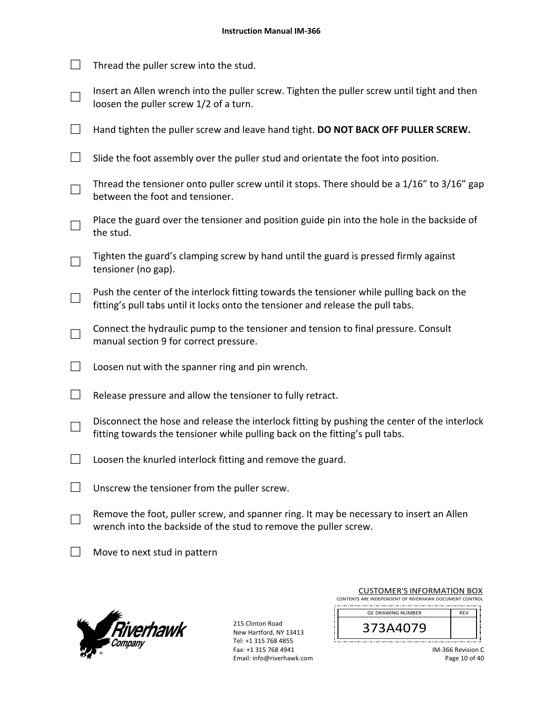$\Box$  Thread the puller screw into the stud. □ Insert an Allen wrench into the puller screw. Tighten the puller screw until tight and then loosen the puller screw 1/2 of a turn. □ Hand tighten the puller screw and leave hand tight. **DO NOT BACK OFF PULLER SCREW.**  $\Box$  Slide the foot assembly over the puller stud and orientate the foot into position. □ Thread the tensioner onto puller screw until it stops. There should be a 1/16" to 3/16" gap between the foot and tensioner. □ Place the guard over the tensioner and position guide pin into the hole in the backside of the stud. □ Tighten the guard's clamping screw by hand until the guard is pressed firmly against tensioner (no gap). □ Push the center of the interlock fitting towards the tensioner while pulling back on the fitting's pull tabs until it locks onto the tensioner and release the pull tabs. □ Connect the hydraulic pump to the tensioner and tension to final pressure. Consult manual section 9 for correct pressure.  $\Box$  Loosen nut with the spanner ring and pin wrench.  $\Box$  Release pressure and allow the tensioner to fully retract. □ Disconnect the hose and release the interlock fitting by pushing the center of the interlock fitting towards the tensioner while pulling back on the fitting's pull tabs.  $\Box$  Loosen the knurled interlock fitting and remove the guard.  $\Box$  Unscrew the tensioner from the puller screw. □ Remove the foot, puller screw, and spanner ring. It may be necessary to insert an Allen wrench into the backside of the stud to remove the puller screw.  $\Box$  Move to next stud in pattern



215 Clinton Road New Hartford, NY 13413 Tel: +1 315 768 4855 Fax: +1 315 768 4941 Email: info@riverhawk.com

| CONTENTS ARE INDEPENDENT OF RIVERHAWK DOCUMENT CONTROL |            |  |
|--------------------------------------------------------|------------|--|
| <b>GE DRAWING NUMBER</b>                               | <b>RFV</b> |  |
| 373A4079                                               |            |  |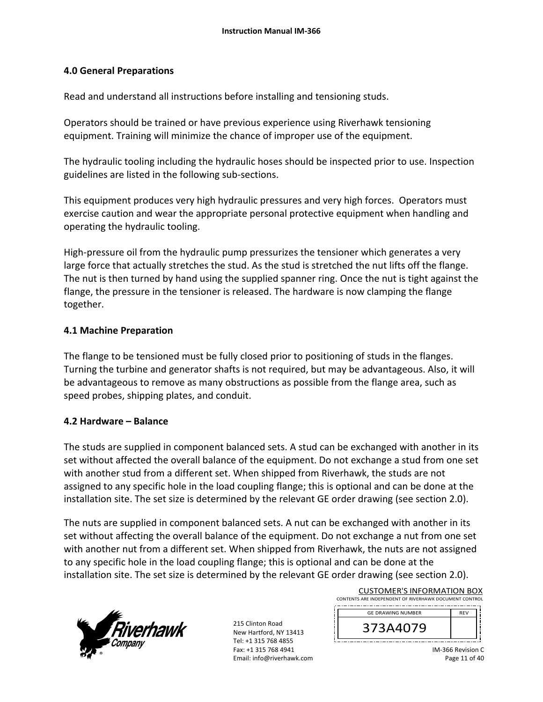### **4.0 General Preparations**

Read and understand all instructions before installing and tensioning studs.

Operators should be trained or have previous experience using Riverhawk tensioning equipment. Training will minimize the chance of improper use of the equipment.

The hydraulic tooling including the hydraulic hoses should be inspected prior to use. Inspection guidelines are listed in the following sub‐sections.

This equipment produces very high hydraulic pressures and very high forces. Operators must exercise caution and wear the appropriate personal protective equipment when handling and operating the hydraulic tooling.

High-pressure oil from the hydraulic pump pressurizes the tensioner which generates a very large force that actually stretches the stud. As the stud is stretched the nut lifts off the flange. The nut is then turned by hand using the supplied spanner ring. Once the nut is tight against the flange, the pressure in the tensioner is released. The hardware is now clamping the flange together.

### **4.1 Machine Preparation**

The flange to be tensioned must be fully closed prior to positioning of studs in the flanges. Turning the turbine and generator shafts is not required, but may be advantageous. Also, it will be advantageous to remove as many obstructions as possible from the flange area, such as speed probes, shipping plates, and conduit.

## **4.2 Hardware – Balance**

The studs are supplied in component balanced sets. A stud can be exchanged with another in its set without affected the overall balance of the equipment. Do not exchange a stud from one set with another stud from a different set. When shipped from Riverhawk, the studs are not assigned to any specific hole in the load coupling flange; this is optional and can be done at the installation site. The set size is determined by the relevant GE order drawing (see section 2.0).

The nuts are supplied in component balanced sets. A nut can be exchanged with another in its set without affecting the overall balance of the equipment. Do not exchange a nut from one set with another nut from a different set. When shipped from Riverhawk, the nuts are not assigned to any specific hole in the load coupling flange; this is optional and can be done at the installation site. The set size is determined by the relevant GE order drawing (see section 2.0).



215 Clinton Road New Hartford, NY 13413 Tel: +1 315 768 4855 Fax: +1 315 768 4941 Email: info@riverhawk.com

| CONTENTS ARE INDEPENDENT OF RIVERHAWK DOCUMENT CONTROL |            |  |
|--------------------------------------------------------|------------|--|
| <b>GE DRAWING NUMBER</b>                               | <b>RFV</b> |  |
| 3/3A4079                                               |            |  |
|                                                        |            |  |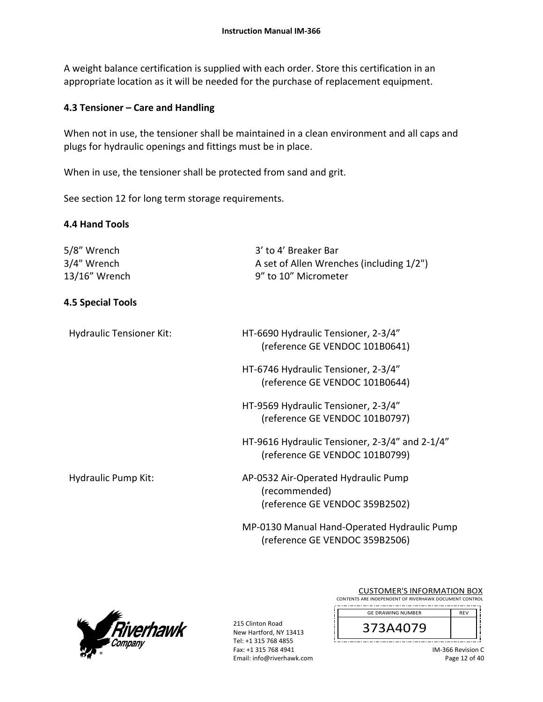A weight balance certification is supplied with each order. Store this certification in an appropriate location as it will be needed for the purchase of replacement equipment.

## **4.3 Tensioner – Care and Handling**

When not in use, the tensioner shall be maintained in a clean environment and all caps and plugs for hydraulic openings and fittings must be in place.

When in use, the tensioner shall be protected from sand and grit.

See section 12 for long term storage requirements.

## **4.4 Hand Tools**

| 5/8″ Wrench<br>3/4" Wrench<br>13/16" Wrench | 3' to 4' Breaker Bar<br>A set of Allen Wrenches (including 1/2")<br>9" to 10" Micrometer |
|---------------------------------------------|------------------------------------------------------------------------------------------|
| <b>4.5 Special Tools</b>                    |                                                                                          |
| <b>Hydraulic Tensioner Kit:</b>             | HT-6690 Hydraulic Tensioner, 2-3/4"<br>(reference GE VENDOC 101B0641)                    |
|                                             | HT-6746 Hydraulic Tensioner, 2-3/4"<br>(reference GE VENDOC 101B0644)                    |
|                                             | HT-9569 Hydraulic Tensioner, 2-3/4"<br>(reference GE VENDOC 101B0797)                    |
|                                             | HT-9616 Hydraulic Tensioner, 2-3/4" and 2-1/4"<br>(reference GE VENDOC 101B0799)         |
| Hydraulic Pump Kit:                         | AP-0532 Air-Operated Hydraulic Pump<br>(recommended)<br>(reference GE VENDOC 359B2502)   |
|                                             | MP-0130 Manual Hand-Operated Hydraulic Pump<br>(reference GE VENDOC 359B2506)            |



215 Clinton Road New Hartford, NY 13413 Tel: +1 315 768 4855 Fax: +1 315 768 4941 Email: info@riverhawk.com

| CONTENTS ARE INDEPENDENT OF RIVERHAWK DOCUMENT CONTROL |            |
|--------------------------------------------------------|------------|
| <b>GE DRAWING NUMBER</b>                               | <b>RFV</b> |
| 373A4079                                               |            |
|                                                        |            |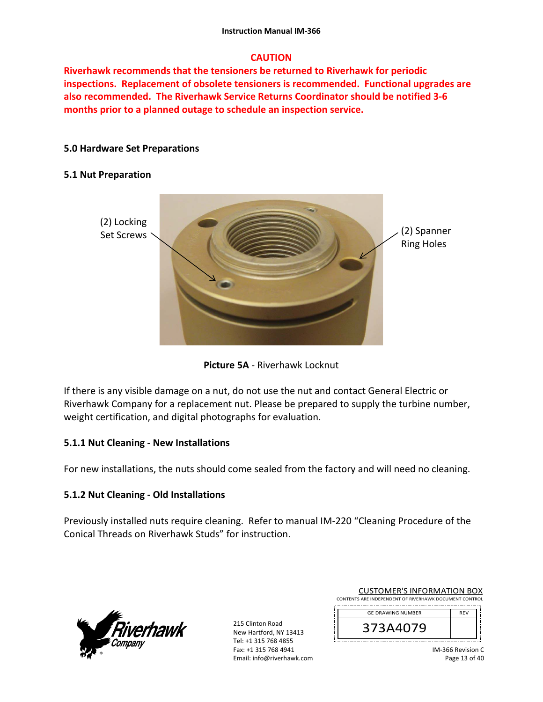# **CAUTION**

**Riverhawk recommends that the tensioners be returned to Riverhawk for periodic inspections. Replacement of obsolete tensioners is recommended. Functional upgrades are also recommended. The Riverhawk Service Returns Coordinator should be notified 3‐6 months prior to a planned outage to schedule an inspection service.** 

## **5.0 Hardware Set Preparations**

### **5.1 Nut Preparation**



**Picture 5A** ‐ Riverhawk Locknut

If there is any visible damage on a nut, do not use the nut and contact General Electric or Riverhawk Company for a replacement nut. Please be prepared to supply the turbine number, weight certification, and digital photographs for evaluation.

## **5.1.1 Nut Cleaning ‐ New Installations**

For new installations, the nuts should come sealed from the factory and will need no cleaning.

## **5.1.2 Nut Cleaning ‐ Old Installations**

Previously installed nuts require cleaning. Refer to manual IM‐220 "Cleaning Procedure of the Conical Threads on Riverhawk Studs" for instruction.



215 Clinton Road New Hartford, NY 13413 Tel: +1 315 768 4855 Fax: +1 315 768 4941 Email: info@riverhawk.com

| CUSTUIVIER STINFURIVIATION BUX                         |            |  |
|--------------------------------------------------------|------------|--|
| CONTENTS ARE INDEPENDENT OF RIVERHAWK DOCUMENT CONTROL |            |  |
|                                                        |            |  |
| <b>GE DRAWING NUMBER</b>                               | <b>RFV</b> |  |
|                                                        |            |  |

373A4079

CON AFRIC INFORMATION BOY

IM‐366 Revision C Page 13 of 40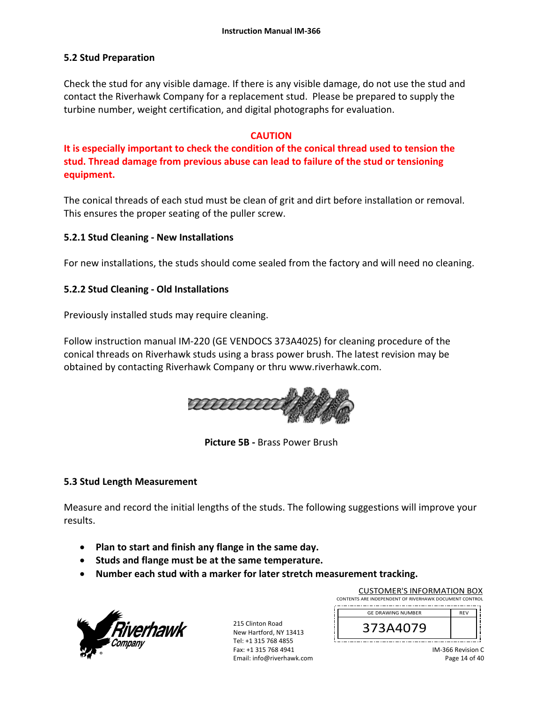### **5.2 Stud Preparation**

Check the stud for any visible damage. If there is any visible damage, do not use the stud and contact the Riverhawk Company for a replacement stud. Please be prepared to supply the turbine number, weight certification, and digital photographs for evaluation.

### **CAUTION**

**It is especially important to check the condition of the conical thread used to tension the stud. Thread damage from previous abuse can lead to failure of the stud or tensioning equipment.**

The conical threads of each stud must be clean of grit and dirt before installation or removal. This ensures the proper seating of the puller screw.

### **5.2.1 Stud Cleaning ‐ New Installations**

For new installations, the studs should come sealed from the factory and will need no cleaning.

### **5.2.2 Stud Cleaning ‐ Old Installations**

Previously installed studs may require cleaning.

Follow instruction manual IM‐220 (GE VENDOCS 373A4025) for cleaning procedure of the conical threads on Riverhawk studs using a brass power brush. The latest revision may be obtained by contacting Riverhawk Company or thru www.riverhawk.com.



**Picture 5B ‐** Brass Power Brush

#### **5.3 Stud Length Measurement**

Measure and record the initial lengths of the studs. The following suggestions will improve your results.

- **Plan to start and finish any flange in the same day.**
- **•** Studs and flange must be at the same temperature.
- **Number each stud with a marker for later stretch measurement tracking.**



215 Clinton Road New Hartford, NY 13413 Tel: +1 315 768 4855 Fax: +1 315 768 4941 Email: info@riverhawk.com

| CONTENTS ARE INDEPENDENT OF RIVERHAWK DOCUMENT CONTROL |            |  |  |
|--------------------------------------------------------|------------|--|--|
| <b>GE DRAWING NUMBER</b>                               | <b>RFV</b> |  |  |
| 373A4079                                               |            |  |  |
|                                                        |            |  |  |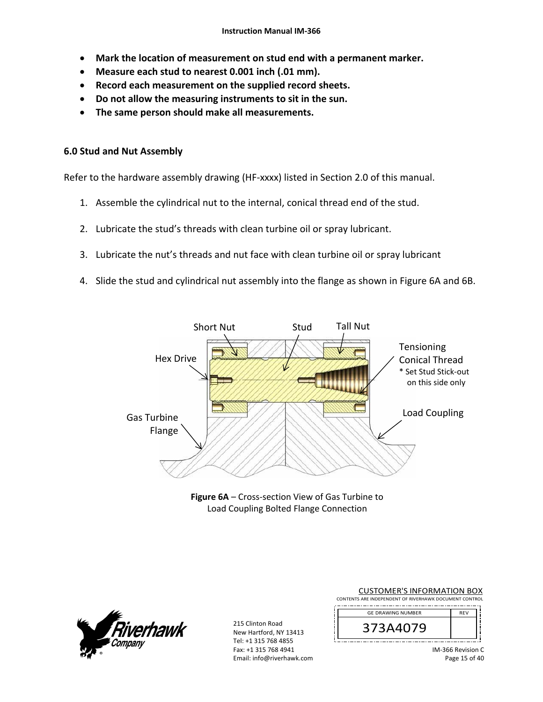- **Mark the location of measurement on stud end with a permanent marker.**
- **Measure each stud to nearest 0.001 inch (.01 mm).**
- **Record each measurement on the supplied record sheets.**
- **Do not allow the measuring instruments to sit in the sun.**
- **The same person should make all measurements.**

#### **6.0 Stud and Nut Assembly**

Refer to the hardware assembly drawing (HF-xxxx) listed in Section 2.0 of this manual.

- 1. Assemble the cylindrical nut to the internal, conical thread end of the stud.
- 2. Lubricate the stud's threads with clean turbine oil or spray lubricant.
- 3. Lubricate the nut's threads and nut face with clean turbine oil or spray lubricant
- 4. Slide the stud and cylindrical nut assembly into the flange as shown in Figure 6A and 6B.



**Figure 6A** – Cross‐section View of Gas Turbine to Load Coupling Bolted Flange Connection



215 Clinton Road New Hartford, NY 13413 Tel: +1 315 768 4855 Fax: +1 315 768 4941 Email: info@riverhawk.com

| <b>CUSTOMER'S INFORMATION BOX</b>                      |            |
|--------------------------------------------------------|------------|
| CONTENTS ARE INDEPENDENT OF RIVERHAWK DOCUMENT CONTROL |            |
| <b>GE DRAWING NUMBER</b>                               | <b>REV</b> |
| 373A4079                                               |            |
|                                                        |            |

IM‐366 Revision C Page 15 of 40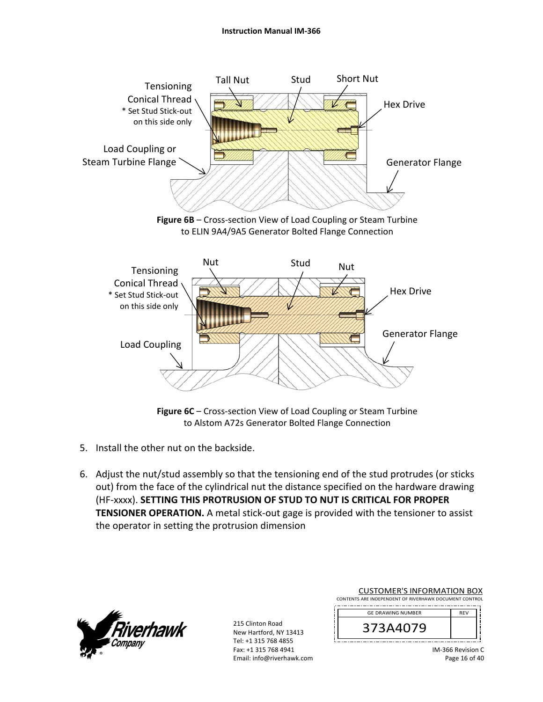

to ELIN 9A4/9A5 Generator Bolted Flange Connection



**Figure 6C** – Cross-section View of Load Coupling or Steam Turbine to Alstom A72s Generator Bolted Flange Connection

- 5. Install the other nut on the backside.
- 6. Adjust the nut/stud assembly so that the tensioning end of the stud protrudes (or sticks out) from the face of the cylindrical nut the distance specified on the hardware drawing (HF‐xxxx). **SETTING THIS PROTRUSION OF STUD TO NUT IS CRITICAL FOR PROPER TENSIONER OPERATION.** A metal stick-out gage is provided with the tensioner to assist the operator in setting the protrusion dimension



215 Clinton Road New Hartford, NY 13413 Tel: +1 315 768 4855 Fax: +1 315 768 4941 Email: info@riverhawk.com

| <b>CUSTOMER'S INFORMATION BOX</b><br>CONTENTS ARE INDEPENDENT OF RIVERHAWK DOCUMENT CONTROL |            |
|---------------------------------------------------------------------------------------------|------------|
| <b>GE DRAWING NUMBER</b>                                                                    | <b>REV</b> |
| 373A4079                                                                                    |            |

IM‐366 Revision C Page 16 of 40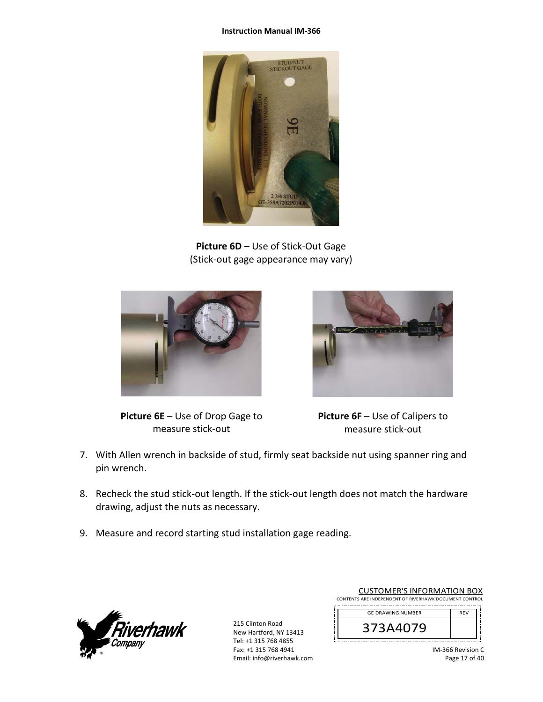#### **Instruction Manual IM‐366**



**Picture 6D** – Use of Stick‐Out Gage (Stick‐out gage appearance may vary)



**Picture 6E** – Use of Drop Gage to measure stick‐out



**Picture 6F** – Use of Calipers to measure stick‐out

- 7. With Allen wrench in backside of stud, firmly seat backside nut using spanner ring and pin wrench.
- 8. Recheck the stud stick‐out length. If the stick‐out length does not match the hardware drawing, adjust the nuts as necessary.
- 9. Measure and record starting stud installation gage reading.



215 Clinton Road New Hartford, NY 13413 Tel: +1 315 768 4855 Fax: +1 315 768 4941 Email: info@riverhawk.com

| <b>CUSTOMER'S INFORMATION BOX</b>                      |            |  |
|--------------------------------------------------------|------------|--|
| CONTENTS ARE INDEPENDENT OF RIVERHAWK DOCUMENT CONTROL |            |  |
| <b>GE DRAWING NUMBER</b>                               | <b>RFV</b> |  |
| 373A4079                                               |            |  |

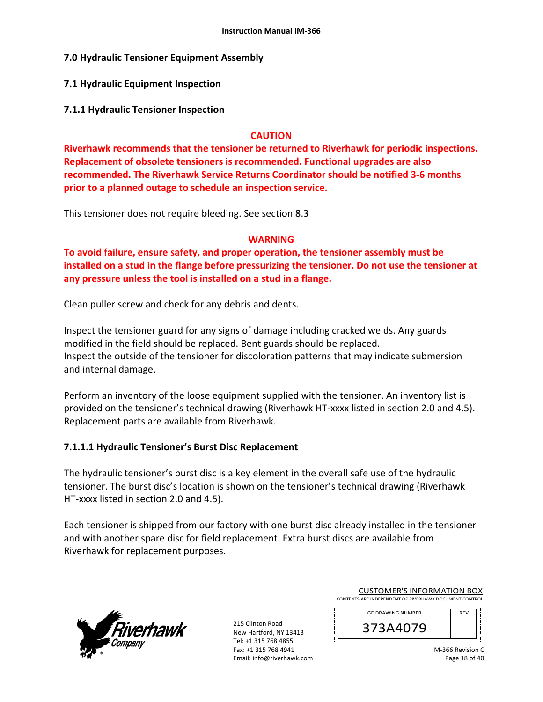### **7.0 Hydraulic Tensioner Equipment Assembly**

#### **7.1 Hydraulic Equipment Inspection**

**7.1.1 Hydraulic Tensioner Inspection** 

#### **CAUTION**

**Riverhawk recommends that the tensioner be returned to Riverhawk for periodic inspections. Replacement of obsolete tensioners is recommended. Functional upgrades are also recommended. The Riverhawk Service Returns Coordinator should be notified 3‐6 months prior to a planned outage to schedule an inspection service.** 

This tensioner does not require bleeding. See section 8.3

### **WARNING**

**To avoid failure, ensure safety, and proper operation, the tensioner assembly must be installed on a stud in the flange before pressurizing the tensioner. Do not use the tensioner at any pressure unless the tool is installed on a stud in a flange.** 

Clean puller screw and check for any debris and dents.

Inspect the tensioner guard for any signs of damage including cracked welds. Any guards modified in the field should be replaced. Bent guards should be replaced. Inspect the outside of the tensioner for discoloration patterns that may indicate submersion and internal damage.

Perform an inventory of the loose equipment supplied with the tensioner. An inventory list is provided on the tensioner's technical drawing (Riverhawk HT‐xxxx listed in section 2.0 and 4.5). Replacement parts are available from Riverhawk.

### **7.1.1.1 Hydraulic Tensioner's Burst Disc Replacement**

The hydraulic tensioner's burst disc is a key element in the overall safe use of the hydraulic tensioner. The burst disc's location is shown on the tensioner's technical drawing (Riverhawk HT-xxxx listed in section 2.0 and 4.5).

Each tensioner is shipped from our factory with one burst disc already installed in the tensioner and with another spare disc for field replacement. Extra burst discs are available from Riverhawk for replacement purposes.



215 Clinton Road New Hartford, NY 13413 Tel: +1 315 768 4855 Fax: +1 315 768 4941 Email: info@riverhawk.com

| <b>CUSTOMER'S INFORMATION BOX</b>                      |            |  |
|--------------------------------------------------------|------------|--|
| CONTENTS ARE INDEPENDENT OF RIVERHAWK DOCUMENT CONTROL |            |  |
| <b>GE DRAWING NUMBER</b>                               | <b>RFV</b> |  |

373A4079

IM‐366 Revision C Page 18 of 40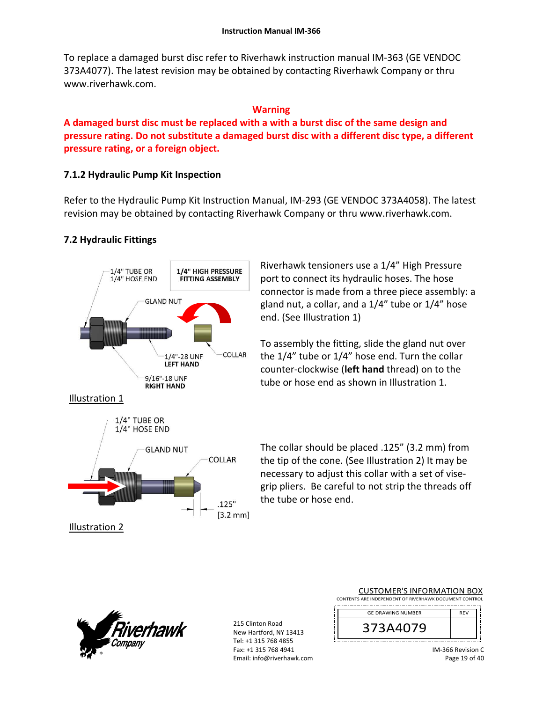To replace a damaged burst disc refer to Riverhawk instruction manual IM‐363 (GE VENDOC 373A4077). The latest revision may be obtained by contacting Riverhawk Company or thru www.riverhawk.com.

## **Warning**

**A damaged burst disc must be replaced with a with a burst disc of the same design and pressure rating. Do not substitute a damaged burst disc with a different disc type, a different pressure rating, or a foreign object.** 

# **7.1.2 Hydraulic Pump Kit Inspection**

Refer to the Hydraulic Pump Kit Instruction Manual, IM‐293 (GE VENDOC 373A4058). The latest revision may be obtained by contacting Riverhawk Company or thru www.riverhawk.com.

# **7.2 Hydraulic Fittings**



Riverhawk tensioners use a 1/4" High Pressure port to connect its hydraulic hoses. The hose connector is made from a three piece assembly: a gland nut, a collar, and a 1/4" tube or 1/4" hose end. (See Illustration 1)

To assembly the fitting, slide the gland nut over the 1/4" tube or 1/4" hose end. Turn the collar counter‐clockwise (**left hand** thread) on to the tube or hose end as shown in Illustration 1.

The collar should be placed .125" (3.2 mm) from the tip of the cone. (See Illustration 2) It may be necessary to adjust this collar with a set of vise‐ grip pliers. Be careful to not strip the threads off the tube or hose end.



215 Clinton Road New Hartford, NY 13413 Tel: +1 315 768 4855 Fax: +1 315 768 4941 Email: info@riverhawk.com

| CONTENTS ARE INDEPENDENT OF RIVERHAWK DOCUMENT CONTROL |            |
|--------------------------------------------------------|------------|
| <b>GE DRAWING NUMBER</b>                               | <b>REV</b> |
| 373A4079                                               |            |
|                                                        |            |

IM‐366 Revision C Page 19 of 40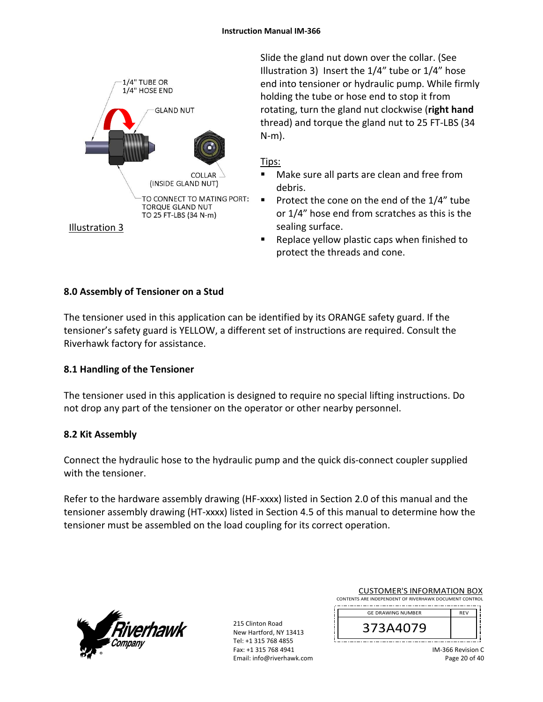

Slide the gland nut down over the collar. (See Illustration 3) Insert the 1/4" tube or 1/4" hose end into tensioner or hydraulic pump. While firmly holding the tube or hose end to stop it from rotating, turn the gland nut clockwise (**right hand** thread) and torque the gland nut to 25 FT‐LBS (34 N‐m).

### Tips:

- Make sure all parts are clean and free from debris.
- Protect the cone on the end of the  $1/4$ " tube or 1/4" hose end from scratches as this is the sealing surface.
- Replace yellow plastic caps when finished to protect the threads and cone.

## **8.0 Assembly of Tensioner on a Stud**

The tensioner used in this application can be identified by its ORANGE safety guard. If the tensioner's safety guard is YELLOW, a different set of instructions are required. Consult the Riverhawk factory for assistance.

## **8.1 Handling of the Tensioner**

The tensioner used in this application is designed to require no special lifting instructions. Do not drop any part of the tensioner on the operator or other nearby personnel.

## **8.2 Kit Assembly**

Connect the hydraulic hose to the hydraulic pump and the quick dis‐connect coupler supplied with the tensioner.

Refer to the hardware assembly drawing (HF-xxxx) listed in Section 2.0 of this manual and the tensioner assembly drawing (HT‐xxxx) listed in Section 4.5 of this manual to determine how the tensioner must be assembled on the load coupling for its correct operation.



215 Clinton Road New Hartford, NY 13413 Tel: +1 315 768 4855 Fax: +1 315 768 4941 Email: info@riverhawk.com

| CUSTUMER S INFORMATION BOX                             |            |  |
|--------------------------------------------------------|------------|--|
| CONTENTS ARE INDEPENDENT OF RIVERHAWK DOCUMENT CONTROL |            |  |
|                                                        |            |  |
| <b>GE DRAWING NUMBER</b>                               | <b>RFV</b> |  |

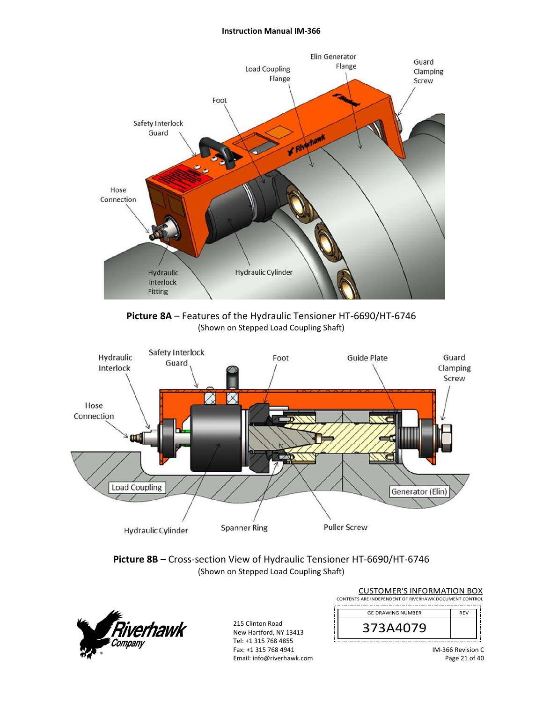#### **Instruction Manual IM‐366**



**Picture 8A** – Features of the Hydraulic Tensioner HT‐6690/HT‐6746 (Shown on Stepped Load Coupling Shaft)



#### **Picture 8B** – Cross‐section View of Hydraulic Tensioner HT‐6690/HT‐6746 (Shown on Stepped Load Coupling Shaft)



215 Clinton Road New Hartford, NY 13413 Tel: +1 315 768 4855 Fax: +1 315 768 4941 Email: info@riverhawk.com

| <b>CUSTOMER'S INFORMATION BOX</b>                      |            |
|--------------------------------------------------------|------------|
| CONTENTS ARE INDEPENDENT OF RIVERHAWK DOCUMENT CONTROL |            |
| <b>GE DRAWING NUMBER</b>                               | <b>REV</b> |
| 373A4079                                               |            |
|                                                        |            |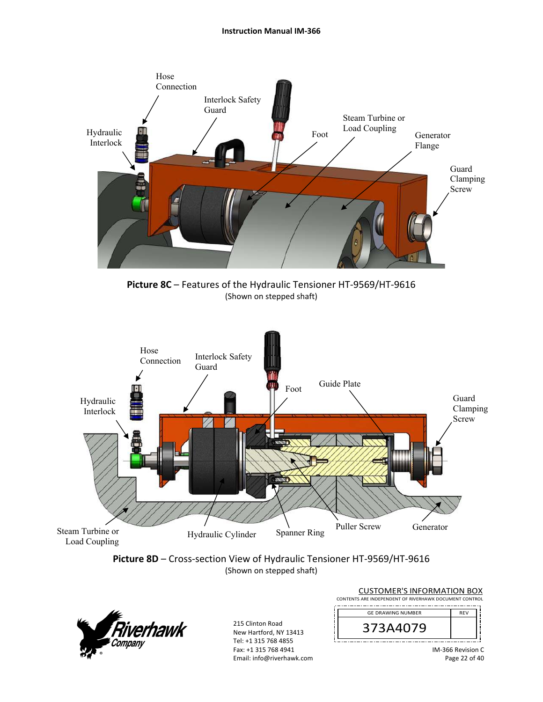

**Picture 8C** – Features of the Hydraulic Tensioner HT‐9569/HT‐9616 (Shown on stepped shaft)







215 Clinton Road New Hartford, NY 13413 Tel: +1 315 768 4855 Fax: +1 315 768 4941 Email: info@riverhawk.com

| CONTENTS ARE INDEPENDENT OF RIVERHAWK DOCUMENT CONTROL |            |  |
|--------------------------------------------------------|------------|--|
| <b>GE DRAWING NUMBER</b>                               | <b>REV</b> |  |
| 373A4079                                               |            |  |
|                                                        |            |  |

IM‐366 Revision C Page 22 of 40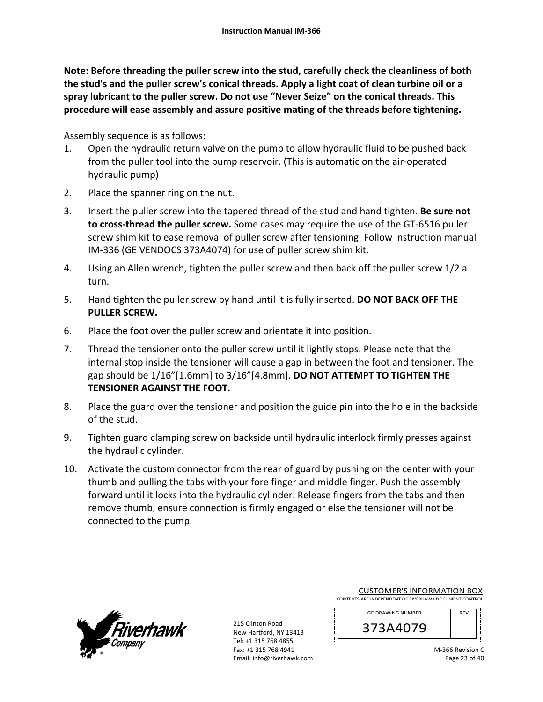**Note: Before threading the puller screw into the stud, carefully check the cleanliness of both the stud's and the puller screw's conical threads. Apply a light coat of clean turbine oil or a spray lubricant to the puller screw. Do not use "Never Seize" on the conical threads. This procedure will ease assembly and assure positive mating of the threads before tightening.** 

Assembly sequence is as follows:

- 1. Open the hydraulic return valve on the pump to allow hydraulic fluid to be pushed back from the puller tool into the pump reservoir. (This is automatic on the air‐operated hydraulic pump)
- 2. Place the spanner ring on the nut.
- 3. Insert the puller screw into the tapered thread of the stud and hand tighten. **Be sure not to cross‐thread the puller screw.** Some cases may require the use of the GT‐6516 puller screw shim kit to ease removal of puller screw after tensioning. Follow instruction manual IM‐336 (GE VENDOCS 373A4074) for use of puller screw shim kit.
- 4. Using an Allen wrench, tighten the puller screw and then back off the puller screw 1/2 a turn.
- 5. Hand tighten the puller screw by hand until it is fully inserted. **DO NOT BACK OFF THE PULLER SCREW.**
- 6. Place the foot over the puller screw and orientate it into position.
- 7. Thread the tensioner onto the puller screw until it lightly stops. Please note that the internal stop inside the tensioner will cause a gap in between the foot and tensioner. The gap should be 1/16"[1.6mm] to 3/16"[4.8mm]. **DO NOT ATTEMPT TO TIGHTEN THE TENSIONER AGAINST THE FOOT.**
- 8. Place the guard over the tensioner and position the guide pin into the hole in the backside of the stud.
- 9. Tighten guard clamping screw on backside until hydraulic interlock firmly presses against the hydraulic cylinder.
- 10. Activate the custom connector from the rear of guard by pushing on the center with your thumb and pulling the tabs with your fore finger and middle finger. Push the assembly forward until it locks into the hydraulic cylinder. Release fingers from the tabs and then remove thumb, ensure connection is firmly engaged or else the tensioner will not be connected to the pump.



215 Clinton Road New Hartford, NY 13413 Tel: +1 315 768 4855 Fax: +1 315 768 4941 Email: info@riverhawk.com

| CONTENTS ARE INDEPENDENT OF RIVERHAWK DOCUMENT CONTROL |            |  |
|--------------------------------------------------------|------------|--|
| <b>GE DRAWING NUMBER</b>                               | <b>REV</b> |  |
| 373A4079                                               |            |  |

CUSTOMER'S INFORMATION BOX

IM‐366 Revision C Page 23 of 40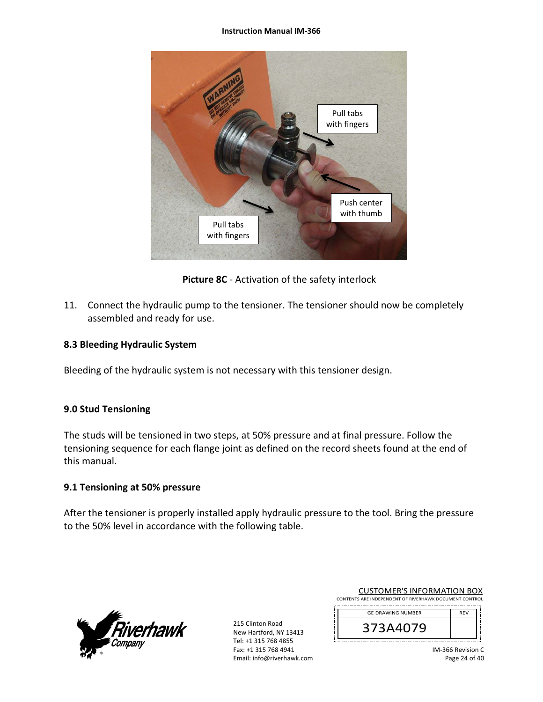#### **Instruction Manual IM‐366**



**Picture 8C** ‐ Activation of the safety interlock

11. Connect the hydraulic pump to the tensioner. The tensioner should now be completely assembled and ready for use.

### **8.3 Bleeding Hydraulic System**

Bleeding of the hydraulic system is not necessary with this tensioner design.

### **9.0 Stud Tensioning**

The studs will be tensioned in two steps, at 50% pressure and at final pressure. Follow the tensioning sequence for each flange joint as defined on the record sheets found at the end of this manual.

### **9.1 Tensioning at 50% pressure**

After the tensioner is properly installed apply hydraulic pressure to the tool. Bring the pressure to the 50% level in accordance with the following table.



215 Clinton Road New Hartford, NY 13413 Tel: +1 315 768 4855 Fax: +1 315 768 4941 Email: info@riverhawk.com

| <b>CUSTOMER'S INFORMATION BOX</b>                      |            |  |
|--------------------------------------------------------|------------|--|
| CONTENTS ARE INDEPENDENT OF RIVERHAWK DOCUMENT CONTROL |            |  |
| <b>GE DRAWING NUMBER</b>                               | <b>RFV</b> |  |
|                                                        |            |  |

373A4079

IM‐366 Revision C Page 24 of 40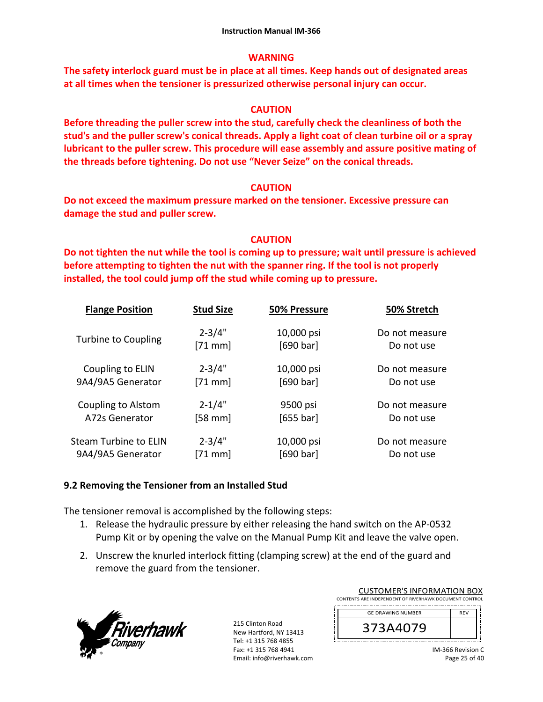## **WARNING**

**The safety interlock guard must be in place at all times. Keep hands out of designated areas at all times when the tensioner is pressurized otherwise personal injury can occur.** 

### **CAUTION**

**Before threading the puller screw into the stud, carefully check the cleanliness of both the stud's and the puller screw's conical threads. Apply a light coat of clean turbine oil or a spray lubricant to the puller screw. This procedure will ease assembly and assure positive mating of the threads before tightening. Do not use "Never Seize" on the conical threads.** 

### **CAUTION**

**Do not exceed the maximum pressure marked on the tensioner. Excessive pressure can damage the stud and puller screw.** 

## **CAUTION**

**Do not tighten the nut while the tool is coming up to pressure; wait until pressure is achieved before attempting to tighten the nut with the spanner ring. If the tool is not properly installed, the tool could jump off the stud while coming up to pressure.** 

| <b>Flange Position</b>     | <b>Stud Size</b> | 50% Pressure | 50% Stretch    |
|----------------------------|------------------|--------------|----------------|
| <b>Turbine to Coupling</b> | $2 - 3/4"$       | 10,000 psi   | Do not measure |
|                            | $[71$ mm]        | [690 bar]    | Do not use     |
| Coupling to ELIN           | $2 - 3/4"$       | 10,000 psi   | Do not measure |
| 9A4/9A5 Generator          | $[71$ mm]        | [690 bar]    | Do not use     |
| Coupling to Alstom         | $2 - 1/4"$       | 9500 psi     | Do not measure |
| A72s Generator             | $[58$ mm $]$     | $[655$ bar]  | Do not use     |
| Steam Turbine to ELIN      | $2 - 3/4"$       | 10,000 psi   | Do not measure |
| 9A4/9A5 Generator          | $[71$ mm         | [690 bar]    | Do not use     |

## **9.2 Removing the Tensioner from an Installed Stud**

The tensioner removal is accomplished by the following steps:

- 1. Release the hydraulic pressure by either releasing the hand switch on the AP‐0532 Pump Kit or by opening the valve on the Manual Pump Kit and leave the valve open.
- 2. Unscrew the knurled interlock fitting (clamping screw) at the end of the guard and remove the guard from the tensioner.



215 Clinton Road New Hartford, NY 13413 Tel: +1 315 768 4855 Fax: +1 315 768 4941 Email: info@riverhawk.com

| CONTENTS ARE INDEPENDENT OF RIVERHAWK DOCUMENT CONTROL |            |  |  |
|--------------------------------------------------------|------------|--|--|
| <b>GE DRAWING NUMBER</b>                               | <b>REV</b> |  |  |
| 373A4079                                               |            |  |  |
|                                                        |            |  |  |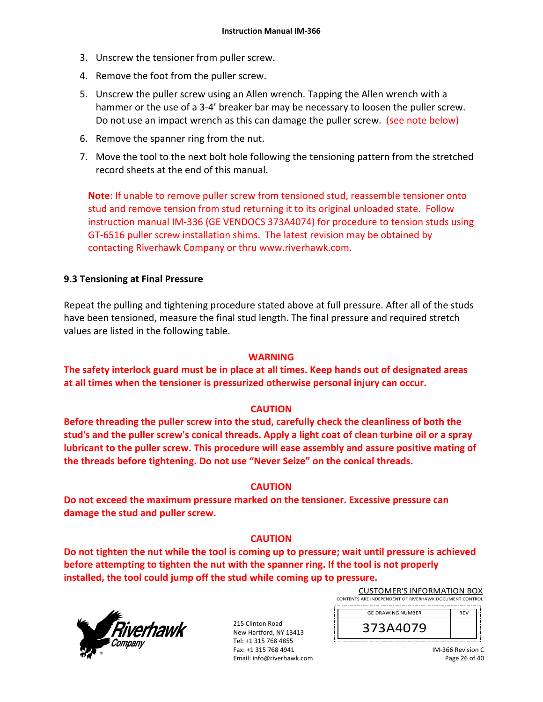- 3. Unscrew the tensioner from puller screw.
- 4. Remove the foot from the puller screw.
- 5. Unscrew the puller screw using an Allen wrench. Tapping the Allen wrench with a hammer or the use of a 3-4' breaker bar may be necessary to loosen the puller screw. Do not use an impact wrench as this can damage the puller screw. (see note below)
- 6. Remove the spanner ring from the nut.
- 7. Move the tool to the next bolt hole following the tensioning pattern from the stretched record sheets at the end of this manual.

**Note**: If unable to remove puller screw from tensioned stud, reassemble tensioner onto stud and remove tension from stud returning it to its original unloaded state. Follow instruction manual IM‐336 (GE VENDOCS 373A4074) for procedure to tension studs using GT‐6516 puller screw installation shims. The latest revision may be obtained by contacting Riverhawk Company or thru www.riverhawk.com.

### **9.3 Tensioning at Final Pressure**

Repeat the pulling and tightening procedure stated above at full pressure. After all of the studs have been tensioned, measure the final stud length. The final pressure and required stretch values are listed in the following table.

### **WARNING**

**The safety interlock guard must be in place at all times. Keep hands out of designated areas at all times when the tensioner is pressurized otherwise personal injury can occur.** 

### **CAUTION**

**Before threading the puller screw into the stud, carefully check the cleanliness of both the stud's and the puller screw's conical threads. Apply a light coat of clean turbine oil or a spray lubricant to the puller screw. This procedure will ease assembly and assure positive mating of the threads before tightening. Do not use "Never Seize" on the conical threads.** 

### **CAUTION**

**Do not exceed the maximum pressure marked on the tensioner. Excessive pressure can damage the stud and puller screw.** 

## **CAUTION**

**Do not tighten the nut while the tool is coming up to pressure; wait until pressure is achieved before attempting to tighten the nut with the spanner ring. If the tool is not properly installed, the tool could jump off the stud while coming up to pressure.**



215 Clinton Road New Hartford, NY 13413 Tel: +1 315 768 4855 Fax: +1 315 768 4941 Email: info@riverhawk.com

| <b>CUSTOMER'S INFORMATION BOX</b>                      |  |  |  |
|--------------------------------------------------------|--|--|--|
| CONTENTS ARE INDEPENDENT OF RIVERHAWK DOCUMENT CONTROL |  |  |  |
| <b>GE DRAWING NUMBER</b>                               |  |  |  |

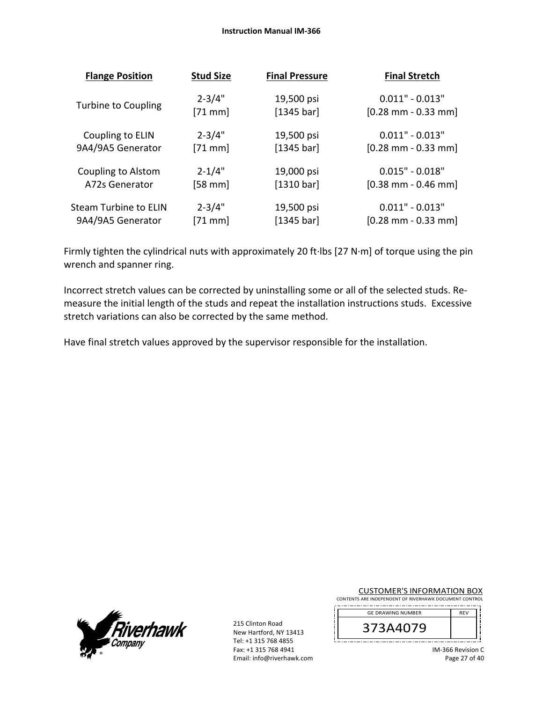| <b>Flange Position</b>     | <b>Stud Size</b> | <b>Final Pressure</b> | <b>Final Stretch</b>                  |
|----------------------------|------------------|-----------------------|---------------------------------------|
| <b>Turbine to Coupling</b> | $2 - 3/4"$       | 19,500 psi            | $0.011" - 0.013"$                     |
|                            | $[71$ mm         | [1345 bar]            | $[0.28 \text{ mm} - 0.33 \text{ mm}]$ |
| Coupling to ELIN           | $2 - 3/4"$       | 19,500 psi            | $0.011" - 0.013"$                     |
| 9A4/9A5 Generator          | $[71$ mm]        | [1345 bar]            | $[0.28$ mm - 0.33 mm]                 |
| Coupling to Alstom         | $2 - 1/4"$       | 19,000 psi            | $0.015" - 0.018"$                     |
| A72s Generator             | $[58$ mm]        | [1310 bar]            | $[0.38$ mm - 0.46 mm                  |
| Steam Turbine to ELIN      | $2 - 3/4"$       | 19,500 psi            | $0.011" - 0.013"$                     |
| 9A4/9A5 Generator          | $[71$ mm         | [1345 bar]            | $[0.28 \text{ mm} - 0.33 \text{ mm}]$ |

Firmly tighten the cylindrical nuts with approximately 20 ft∙lbs [27 N∙m] of torque using the pin wrench and spanner ring.

Incorrect stretch values can be corrected by uninstalling some or all of the selected studs. Re‐ measure the initial length of the studs and repeat the installation instructions studs. Excessive stretch variations can also be corrected by the same method.

Have final stretch values approved by the supervisor responsible for the installation.



215 Clinton Road New Hartford, NY 13413 Tel: +1 315 768 4855 Fax: +1 315 768 4941 Email: info@riverhawk.com CUSTOMER'S INFORMATION BOX

CONTENTS ARE INDEPENDENT OF RIVERHAWK DOCUMENT CONTROL 

| <b>GE DRAWING NUMBER</b> | <b>RFV</b> |
|--------------------------|------------|
| 373A4079                 |            |
|                          |            |

IM‐366 Revision C Page 27 of 40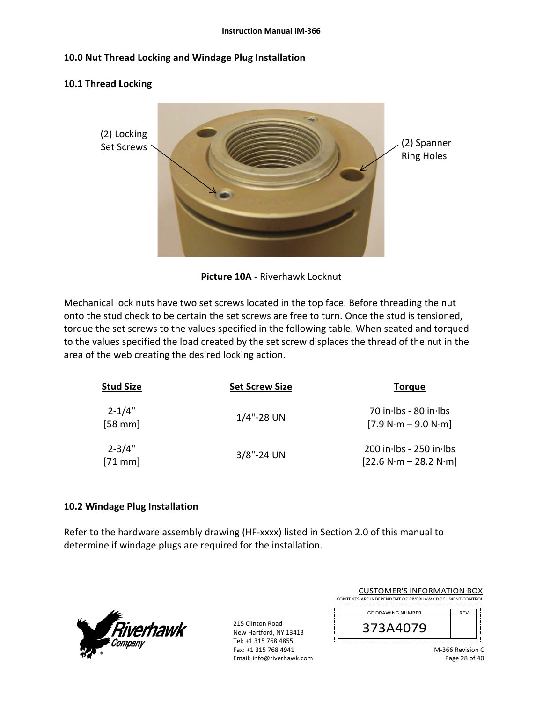### **10.0 Nut Thread Locking and Windage Plug Installation**

### **10.1 Thread Locking**



**Picture 10A ‐** Riverhawk Locknut

Mechanical lock nuts have two set screws located in the top face. Before threading the nut onto the stud check to be certain the set screws are free to turn. Once the stud is tensioned, torque the set screws to the values specified in the following table. When seated and torqued to the values specified the load created by the set screw displaces the thread of the nut in the area of the web creating the desired locking action.

| <b>Stud Size</b>       | <b>Set Screw Size</b> | <b>Torque</b>                                          |
|------------------------|-----------------------|--------------------------------------------------------|
| $2 - 1/4"$<br>$[58$ mm | $1/4$ "-28 UN         | 70 in Ibs - 80 in Ibs<br>$[7.9 N·m - 9.0 N·m]$         |
| $2 - 3/4"$<br>$[71$ mm | $3/8$ "-24 UN         | $200$ in lbs - $250$ in lbs<br>$[22.6 N·m - 28.2 N·m]$ |

### **10.2 Windage Plug Installation**

Refer to the hardware assembly drawing (HF-xxxx) listed in Section 2.0 of this manual to determine if windage plugs are required for the installation.



215 Clinton Road New Hartford, NY 13413 Tel: +1 315 768 4855 Fax: +1 315 768 4941 Email: info@riverhawk.com

| <b>CUSTOMER'S INFORMATION BOX</b>                      |            |  |  |
|--------------------------------------------------------|------------|--|--|
| CONTENTS ARE INDEPENDENT OF RIVERHAWK DOCUMENT CONTROL |            |  |  |
| <b>GE DRAWING NUMBER</b>                               | <b>RFV</b> |  |  |
| 373A4079                                               |            |  |  |

IM‐366 Revision C Page 28 of 40

j ;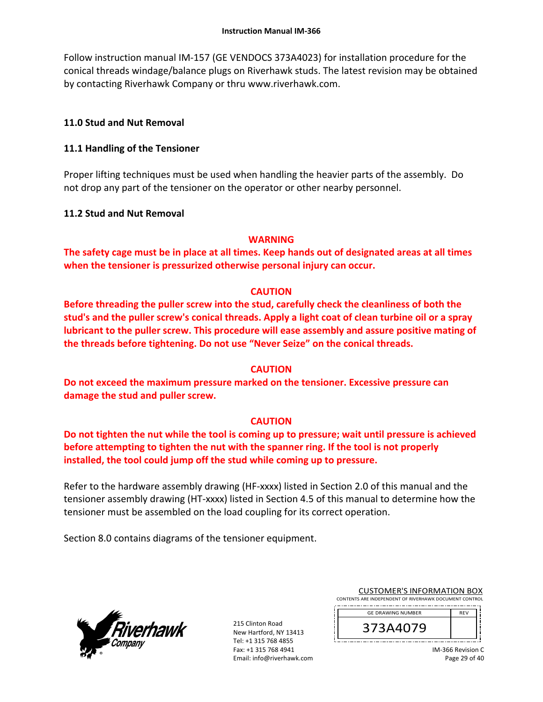Follow instruction manual IM‐157 (GE VENDOCS 373A4023) for installation procedure for the conical threads windage/balance plugs on Riverhawk studs. The latest revision may be obtained by contacting Riverhawk Company or thru www.riverhawk.com.

## **11.0 Stud and Nut Removal**

### **11.1 Handling of the Tensioner**

Proper lifting techniques must be used when handling the heavier parts of the assembly. Do not drop any part of the tensioner on the operator or other nearby personnel.

### **11.2 Stud and Nut Removal**

### **WARNING**

**The safety cage must be in place at all times. Keep hands out of designated areas at all times when the tensioner is pressurized otherwise personal injury can occur.** 

### **CAUTION**

**Before threading the puller screw into the stud, carefully check the cleanliness of both the stud's and the puller screw's conical threads. Apply a light coat of clean turbine oil or a spray lubricant to the puller screw. This procedure will ease assembly and assure positive mating of the threads before tightening. Do not use "Never Seize" on the conical threads.** 

### **CAUTION**

**Do not exceed the maximum pressure marked on the tensioner. Excessive pressure can damage the stud and puller screw.** 

### **CAUTION**

**Do not tighten the nut while the tool is coming up to pressure; wait until pressure is achieved before attempting to tighten the nut with the spanner ring. If the tool is not properly installed, the tool could jump off the stud while coming up to pressure.** 

Refer to the hardware assembly drawing (HF-xxxx) listed in Section 2.0 of this manual and the tensioner assembly drawing (HT‐xxxx) listed in Section 4.5 of this manual to determine how the tensioner must be assembled on the load coupling for its correct operation.

Section 8.0 contains diagrams of the tensioner equipment.



215 Clinton Road New Hartford, NY 13413 Tel: +1 315 768 4855 Fax: +1 315 768 4941 Email: info@riverhawk.com

| <b>CUSTOMER'S INFORMATION BOX</b>                      |            |  |  |
|--------------------------------------------------------|------------|--|--|
| CONTENTS ARE INDEPENDENT OF RIVERHAWK DOCUMENT CONTROL |            |  |  |
| <b>GE DRAWING NUMBER</b>                               | <b>RFV</b> |  |  |

| <b>GE DRAWING NUMBER</b> |  |
|--------------------------|--|
| -14079<br>⊃              |  |
|                          |  |

IM‐366 Revision C Page 29 of 40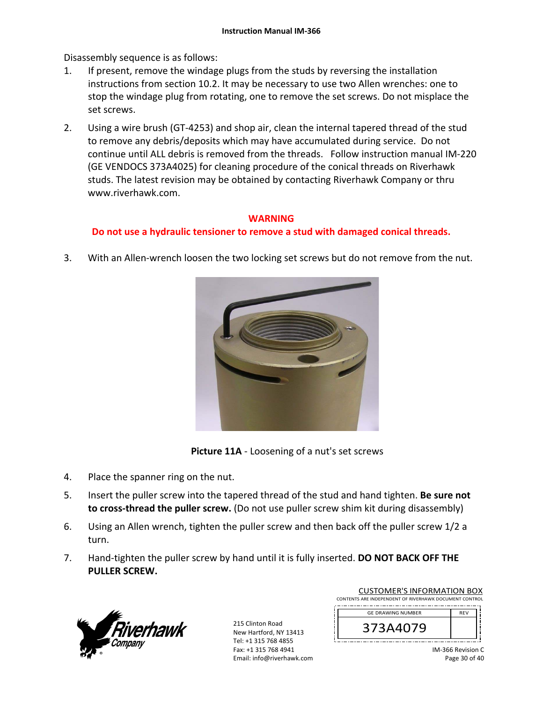Disassembly sequence is as follows:

- 1. If present, remove the windage plugs from the studs by reversing the installation instructions from section 10.2. It may be necessary to use two Allen wrenches: one to stop the windage plug from rotating, one to remove the set screws. Do not misplace the set screws.
- 2. Using a wire brush (GT‐4253) and shop air, clean the internal tapered thread of the stud to remove any debris/deposits which may have accumulated during service. Do not continue until ALL debris is removed from the threads. Follow instruction manual IM‐220 (GE VENDOCS 373A4025) for cleaning procedure of the conical threads on Riverhawk studs. The latest revision may be obtained by contacting Riverhawk Company or thru www.riverhawk.com.

## **WARNING**

## **Do not use a hydraulic tensioner to remove a stud with damaged conical threads.**

3. With an Allen-wrench loosen the two locking set screws but do not remove from the nut.



**Picture 11A** - Loosening of a nut's set screws

- 4. Place the spanner ring on the nut.
- 5. Insert the puller screw into the tapered thread of the stud and hand tighten. **Be sure not**  to cross-thread the puller screw. (Do not use puller screw shim kit during disassembly)
- 6. Using an Allen wrench, tighten the puller screw and then back off the puller screw 1/2 a turn.
- 7. Hand‐tighten the puller screw by hand until it is fully inserted. **DO NOT BACK OFF THE PULLER SCREW.**



215 Clinton Road New Hartford, NY 13413 Tel: +1 315 768 4855 Fax: +1 315 768 4941 Email: info@riverhawk.com

| CONTENTS ARE INDEPENDENT OF RIVERHAWK DOCUMENT CONTROL |            |  |
|--------------------------------------------------------|------------|--|
| <b>GE DRAWING NUMBER</b>                               | <b>RFV</b> |  |
| 373A4079                                               |            |  |
|                                                        |            |  |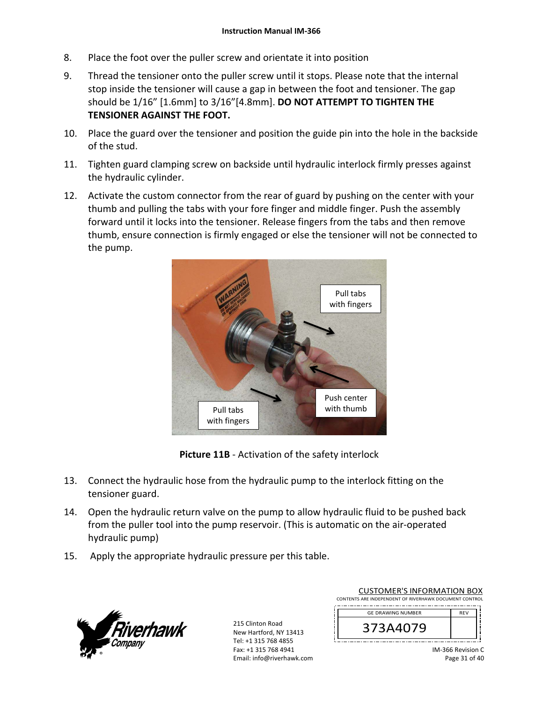- 8. Place the foot over the puller screw and orientate it into position
- 9. Thread the tensioner onto the puller screw until it stops. Please note that the internal stop inside the tensioner will cause a gap in between the foot and tensioner. The gap should be 1/16" [1.6mm] to 3/16"[4.8mm]. **DO NOT ATTEMPT TO TIGHTEN THE TENSIONER AGAINST THE FOOT.**
- 10. Place the guard over the tensioner and position the guide pin into the hole in the backside of the stud.
- 11. Tighten guard clamping screw on backside until hydraulic interlock firmly presses against the hydraulic cylinder.
- 12. Activate the custom connector from the rear of guard by pushing on the center with your thumb and pulling the tabs with your fore finger and middle finger. Push the assembly forward until it locks into the tensioner. Release fingers from the tabs and then remove thumb, ensure connection is firmly engaged or else the tensioner will not be connected to the pump.



**Picture 11B** ‐ Activation of the safety interlock

- 13. Connect the hydraulic hose from the hydraulic pump to the interlock fitting on the tensioner guard.
- 14. Open the hydraulic return valve on the pump to allow hydraulic fluid to be pushed back from the puller tool into the pump reservoir. (This is automatic on the air‐operated hydraulic pump)
- 15. Apply the appropriate hydraulic pressure per this table.



215 Clinton Road New Hartford, NY 13413 Tel: +1 315 768 4855 Fax: +1 315 768 4941 Email: info@riverhawk.com

| CONTENTS ARE INDEPENDENT OF RIVERHAWK DOCUMENT CONTROL |            |  |
|--------------------------------------------------------|------------|--|
| <b>GE DRAWING NUMBER</b>                               | <b>RFV</b> |  |
| 3/3A4079                                               |            |  |
|                                                        |            |  |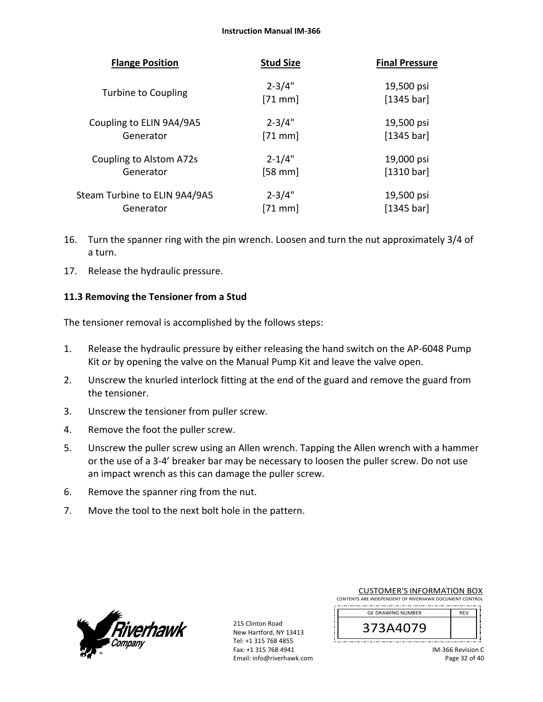| <b>Flange Position</b>        | <b>Stud Size</b>        | <b>Final Pressure</b>    |
|-------------------------------|-------------------------|--------------------------|
| <b>Turbine to Coupling</b>    | $2 - 3/4"$<br>$[71$ mm] | 19,500 psi<br>[1345 bar] |
| Coupling to ELIN 9A4/9A5      | $2 - 3/4"$              | 19,500 psi               |
| Generator                     | $[71$ mm                | [1345 bar]               |
| Coupling to Alstom A72s       | $2 - 1/4"$              | 19,000 psi               |
| Generator                     | $[58$ mm]               | [1310 bar]               |
| Steam Turbine to ELIN 9A4/9A5 | $2 - 3/4"$              | 19,500 psi               |
| Generator                     | $[71$ mm]               | [1345 bar]               |

- 16. Turn the spanner ring with the pin wrench. Loosen and turn the nut approximately 3/4 of a turn.
- 17. Release the hydraulic pressure.

## **11.3 Removing the Tensioner from a Stud**

The tensioner removal is accomplished by the follows steps:

- 1. Release the hydraulic pressure by either releasing the hand switch on the AP‐6048 Pump Kit or by opening the valve on the Manual Pump Kit and leave the valve open.
- 2. Unscrew the knurled interlock fitting at the end of the guard and remove the guard from the tensioner.
- 3. Unscrew the tensioner from puller screw.
- 4. Remove the foot the puller screw.
- 5. Unscrew the puller screw using an Allen wrench. Tapping the Allen wrench with a hammer or the use of a 3‐4' breaker bar may be necessary to loosen the puller screw. Do not use an impact wrench as this can damage the puller screw.
- 6. Remove the spanner ring from the nut.
- 7. Move the tool to the next bolt hole in the pattern.



215 Clinton Road New Hartford, NY 13413 Tel: +1 315 768 4855 Fax: +1 315 768 4941 Email: info@riverhawk.com

| CONTENTS ARE INDEPENDENT OF RIVERHAWK DOCUMENT CONTROL |            |  |
|--------------------------------------------------------|------------|--|
| <b>GE DRAWING NUMBER</b>                               | <b>REV</b> |  |
| 373A4079                                               |            |  |
|                                                        |            |  |

CUSTOMER'S INFORMATION BOX

IM‐366 Revision C Page 32 of 40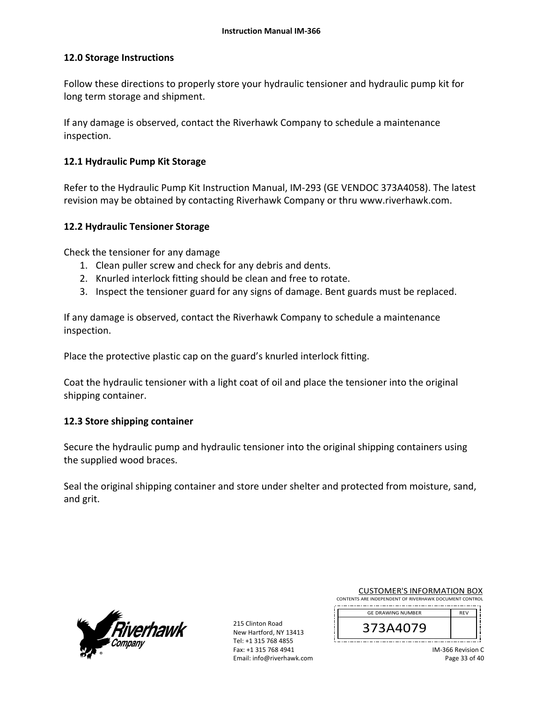### **12.0 Storage Instructions**

Follow these directions to properly store your hydraulic tensioner and hydraulic pump kit for long term storage and shipment.

If any damage is observed, contact the Riverhawk Company to schedule a maintenance inspection.

#### **12.1 Hydraulic Pump Kit Storage**

Refer to the Hydraulic Pump Kit Instruction Manual, IM‐293 (GE VENDOC 373A4058). The latest revision may be obtained by contacting Riverhawk Company or thru www.riverhawk.com.

#### **12.2 Hydraulic Tensioner Storage**

Check the tensioner for any damage

- 1. Clean puller screw and check for any debris and dents.
- 2. Knurled interlock fitting should be clean and free to rotate.
- 3. Inspect the tensioner guard for any signs of damage. Bent guards must be replaced.

If any damage is observed, contact the Riverhawk Company to schedule a maintenance inspection.

Place the protective plastic cap on the guard's knurled interlock fitting.

Coat the hydraulic tensioner with a light coat of oil and place the tensioner into the original shipping container.

### **12.3 Store shipping container**

Secure the hydraulic pump and hydraulic tensioner into the original shipping containers using the supplied wood braces.

Seal the original shipping container and store under shelter and protected from moisture, sand, and grit.



215 Clinton Road New Hartford, NY 13413 Tel: +1 315 768 4855 Fax: +1 315 768 4941 Email: info@riverhawk.com

| <b>CUSTOMER'S INFORMATION BOX</b>                      |
|--------------------------------------------------------|
| CONTENTS ARE INDEPENDENT OF RIVERHAWK DOCUMENT CONTROL |
| -----------------------<br>-----                       |

| <b>GE DRAWING NUMBER</b> | <b>RFV</b> |
|--------------------------|------------|
| 373A4079                 |            |
|                          |            |

IM‐366 Revision C Page 33 of 40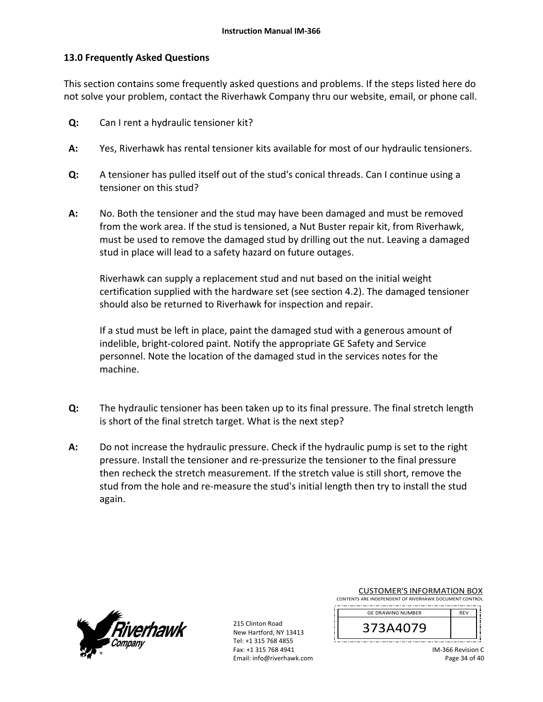### **13.0 Frequently Asked Questions**

This section contains some frequently asked questions and problems. If the steps listed here do not solve your problem, contact the Riverhawk Company thru our website, email, or phone call.

- **Q:**  Can I rent a hydraulic tensioner kit?
- **A:**  Yes, Riverhawk has rental tensioner kits available for most of our hydraulic tensioners.
- **Q:**  A tensioner has pulled itself out of the stud's conical threads. Can I continue using a tensioner on this stud?
- **A:**  No. Both the tensioner and the stud may have been damaged and must be removed from the work area. If the stud is tensioned, a Nut Buster repair kit, from Riverhawk, must be used to remove the damaged stud by drilling out the nut. Leaving a damaged stud in place will lead to a safety hazard on future outages.

Riverhawk can supply a replacement stud and nut based on the initial weight certification supplied with the hardware set (see section 4.2). The damaged tensioner should also be returned to Riverhawk for inspection and repair.

If a stud must be left in place, paint the damaged stud with a generous amount of indelible, bright‐colored paint. Notify the appropriate GE Safety and Service personnel. Note the location of the damaged stud in the services notes for the machine.

- **Q:**  The hydraulic tensioner has been taken up to its final pressure. The final stretch length is short of the final stretch target. What is the next step?
- **A:**  Do not increase the hydraulic pressure. Check if the hydraulic pump is set to the right pressure. Install the tensioner and re‐pressurize the tensioner to the final pressure then recheck the stretch measurement. If the stretch value is still short, remove the stud from the hole and re‐measure the stud's initial length then try to install the stud again.



215 Clinton Road New Hartford, NY 13413 Tel: +1 315 768 4855 Fax: +1 315 768 4941 Email: info@riverhawk.com

| <b>CUSTOMER'S INFORMATION BOX</b>                      |
|--------------------------------------------------------|
| CONTENTS ARE INDEPENDENT OF RIVERHAWK DOCUMENT CONTROL |
| -----------------------<br>-----                       |

| <b>GE DRAWING NUMBER</b> | <b>RFV</b> |
|--------------------------|------------|
| 407Y<br>⊸⊾               |            |
|                          |            |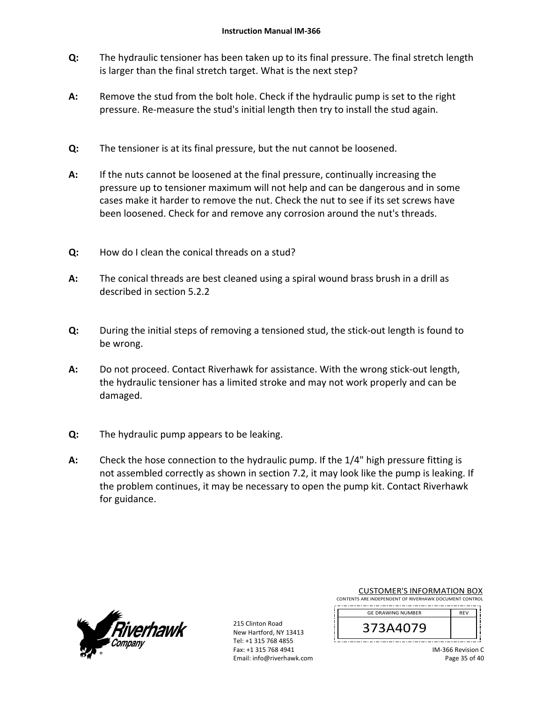- **Q:**  The hydraulic tensioner has been taken up to its final pressure. The final stretch length is larger than the final stretch target. What is the next step?
- **A:**  Remove the stud from the bolt hole. Check if the hydraulic pump is set to the right pressure. Re‐measure the stud's initial length then try to install the stud again.
- **Q:**  The tensioner is at its final pressure, but the nut cannot be loosened.
- **A:**  If the nuts cannot be loosened at the final pressure, continually increasing the pressure up to tensioner maximum will not help and can be dangerous and in some cases make it harder to remove the nut. Check the nut to see if its set screws have been loosened. Check for and remove any corrosion around the nut's threads.
- **Q:**  How do I clean the conical threads on a stud?
- **A:**  The conical threads are best cleaned using a spiral wound brass brush in a drill as described in section 5.2.2
- **Q:**  During the initial steps of removing a tensioned stud, the stick‐out length is found to be wrong.
- **A:**  Do not proceed. Contact Riverhawk for assistance. With the wrong stick-out length, the hydraulic tensioner has a limited stroke and may not work properly and can be damaged.
- **Q:**  The hydraulic pump appears to be leaking.
- **A:**  Check the hose connection to the hydraulic pump. If the 1/4" high pressure fitting is not assembled correctly as shown in section 7.2, it may look like the pump is leaking. If the problem continues, it may be necessary to open the pump kit. Contact Riverhawk for guidance.



215 Clinton Road New Hartford, NY 13413 Tel: +1 315 768 4855 Fax: +1 315 768 4941 Email: info@riverhawk.com

| <b>CUSTOMER'S INFORMATION BOX</b>                      |            |  |  |
|--------------------------------------------------------|------------|--|--|
| CONTENTS ARE INDEPENDENT OF RIVERHAWK DOCUMENT CONTROL |            |  |  |
| <b>GE DRAWING NUMBER</b>                               | <b>RFV</b> |  |  |
|                                                        |            |  |  |



IM‐366 Revision C Page 35 of 40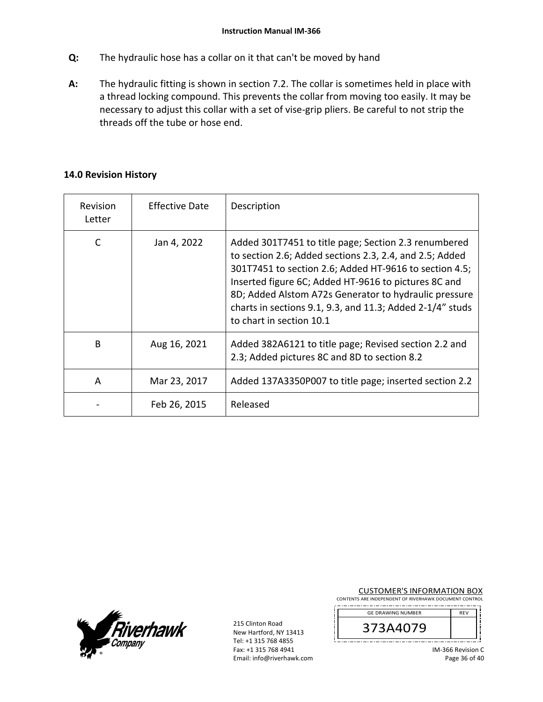- **Q:**  The hydraulic hose has a collar on it that can't be moved by hand
- **A:**  The hydraulic fitting is shown in section 7.2. The collar is sometimes held in place with a thread locking compound. This prevents the collar from moving too easily. It may be necessary to adjust this collar with a set of vise‐grip pliers. Be careful to not strip the threads off the tube or hose end.

### **14.0 Revision History**

| Revision<br>Letter | <b>Effective Date</b> | Description                                                                                                                                                                                                                                                                                                                                                                         |
|--------------------|-----------------------|-------------------------------------------------------------------------------------------------------------------------------------------------------------------------------------------------------------------------------------------------------------------------------------------------------------------------------------------------------------------------------------|
|                    | Jan 4, 2022           | Added 301T7451 to title page; Section 2.3 renumbered<br>to section 2.6; Added sections 2.3, 2.4, and 2.5; Added<br>301T7451 to section 2.6; Added HT-9616 to section 4.5;<br>Inserted figure 6C; Added HT-9616 to pictures 8C and<br>8D; Added Alstom A72s Generator to hydraulic pressure<br>charts in sections 9.1, 9.3, and 11.3; Added 2-1/4" studs<br>to chart in section 10.1 |
| B                  | Aug 16, 2021          | Added 382A6121 to title page; Revised section 2.2 and<br>2.3; Added pictures 8C and 8D to section 8.2                                                                                                                                                                                                                                                                               |
| A                  | Mar 23, 2017          | Added 137A3350P007 to title page; inserted section 2.2                                                                                                                                                                                                                                                                                                                              |
|                    | Feb 26, 2015          | Released                                                                                                                                                                                                                                                                                                                                                                            |



215 Clinton Road New Hartford, NY 13413 Tel: +1 315 768 4855 Fax: +1 315 768 4941 Email: info@riverhawk.com CUSTOMER'S INFORMATION BOX

CONTENTS ARE INDEPENDENT OF RIVERHAWK DOCUMENT CONTROL 

| <b>GE DRAWING NUMBER</b> | <b>RFV</b> |
|--------------------------|------------|
| 3A4079'<br>⊃             |            |
|                          |            |

IM‐366 Revision C Page 36 of 40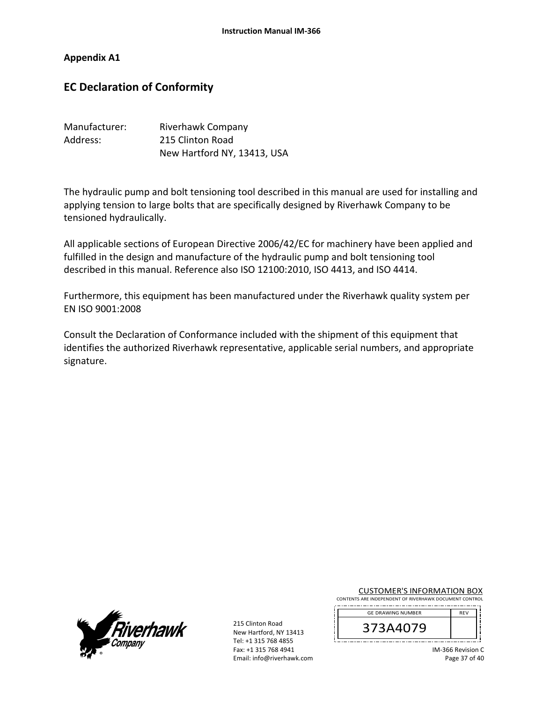**Appendix A1**

# **EC Declaration of Conformity**

| Manufacturer: | Riverhawk Company           |
|---------------|-----------------------------|
| Address:      | 215 Clinton Road            |
|               | New Hartford NY, 13413, USA |

The hydraulic pump and bolt tensioning tool described in this manual are used for installing and applying tension to large bolts that are specifically designed by Riverhawk Company to be tensioned hydraulically.

All applicable sections of European Directive 2006/42/EC for machinery have been applied and fulfilled in the design and manufacture of the hydraulic pump and bolt tensioning tool described in this manual. Reference also ISO 12100:2010, ISO 4413, and ISO 4414.

Furthermore, this equipment has been manufactured under the Riverhawk quality system per EN ISO 9001:2008

Consult the Declaration of Conformance included with the shipment of this equipment that identifies the authorized Riverhawk representative, applicable serial numbers, and appropriate signature.



215 Clinton Road New Hartford, NY 13413 Tel: +1 315 768 4855 Fax: +1 315 768 4941 Email: info@riverhawk.com CUSTOMER'S INFORMATION BOX

CONTENTS ARE INDEPENDENT OF RIVERHAWK DOCUMENT CONTROL 

| <b>GE DRAWING NUMBER</b> | <b>RFV</b> |
|--------------------------|------------|
| 373A4079                 |            |
|                          |            |

IM‐366 Revision C Page 37 of 40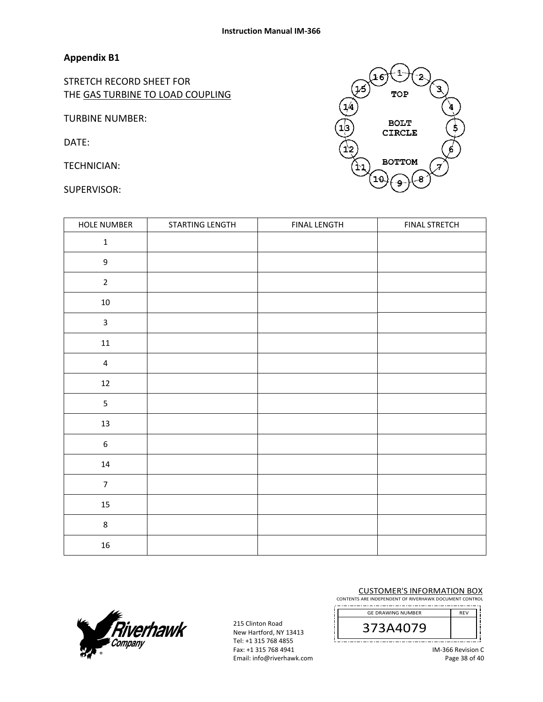### **Appendix B1**

STRETCH RECORD SHEET FOR THE GAS TURBINE TO LOAD COUPLING

TURBINE NUMBER:

DATE:

TECHNICIAN:

SUPERVISOR:

| HOLE NUMBER             | STARTING LENGTH | FINAL LENGTH | <b>FINAL STRETCH</b> |
|-------------------------|-----------------|--------------|----------------------|
| $\mathbf 1$             |                 |              |                      |
| $\boldsymbol{9}$        |                 |              |                      |
| $\overline{2}$          |                 |              |                      |
| $10\,$                  |                 |              |                      |
| $\overline{\mathbf{3}}$ |                 |              |                      |
| $11\,$                  |                 |              |                      |
| $\overline{4}$          |                 |              |                      |
| 12                      |                 |              |                      |
| 5                       |                 |              |                      |
| $13\,$                  |                 |              |                      |
| $\boldsymbol{6}$        |                 |              |                      |
| $14\,$                  |                 |              |                      |
| $\overline{7}$          |                 |              |                      |
| $15\,$                  |                 |              |                      |
| $\bf 8$                 |                 |              |                      |
| $16\,$                  |                 |              |                      |



215 Clinton Road New Hartford, NY 13413 Tel: +1 315 768 4855 Fax: +1 315 768 4941 Email: info@riverhawk.com

#### CUSTOMER'S INFORMATION BOX

CONTENTS ARE INDEPENDENT OF RIVERHAWK DOCUMENT CONTROL --------------------





IM‐366 Revision C Page 38 of 40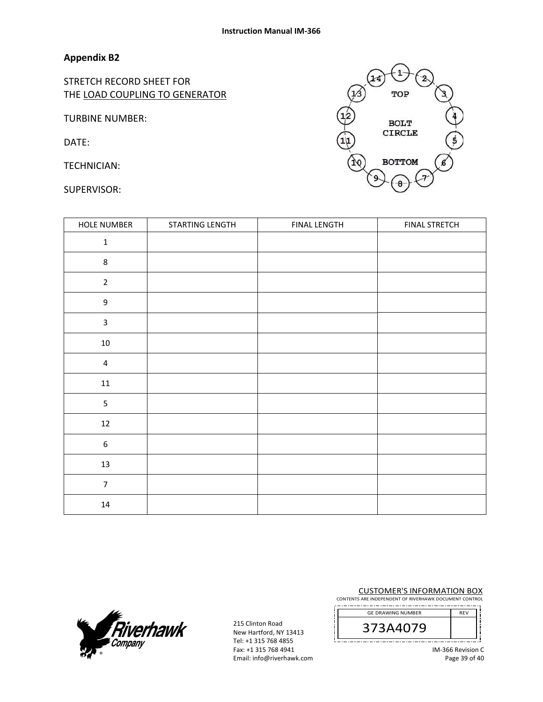### **Appendix B2**

STRETCH RECORD SHEET FOR THE LOAD COUPLING TO GENERATOR

TURBINE NUMBER:

DATE:

TECHNICIAN:

SUPERVISOR:

| <b>HOLE NUMBER</b>      | STARTING LENGTH | <b>FINAL LENGTH</b> | <b>FINAL STRETCH</b> |
|-------------------------|-----------------|---------------------|----------------------|
| $\mathbf 1$             |                 |                     |                      |
| 8                       |                 |                     |                      |
| $\overline{2}$          |                 |                     |                      |
| 9                       |                 |                     |                      |
| $\mathsf{3}$            |                 |                     |                      |
| $10\,$                  |                 |                     |                      |
| $\overline{\mathbf{4}}$ |                 |                     |                      |
| $11\,$                  |                 |                     |                      |
| 5                       |                 |                     |                      |
| $12\,$                  |                 |                     |                      |
| $\boldsymbol{6}$        |                 |                     |                      |
| 13                      |                 |                     |                      |
| $\boldsymbol{7}$        |                 |                     |                      |
| $14\,$                  |                 |                     |                      |



215 Clinton Road New Hartford, NY 13413 Tel: +1 315 768 4855 Fax: +1 315 768 4941 Email: info@riverhawk.com CUSTOMER'S INFORMATION BOX

CONTENTS ARE INDEPENDENT OF RIVERHAWK DOCUMENT CONTROL ..\_.\_.\_.\_.\_.\_.\_.\_.\_.





IM‐366 Revision C Page 39 of 40